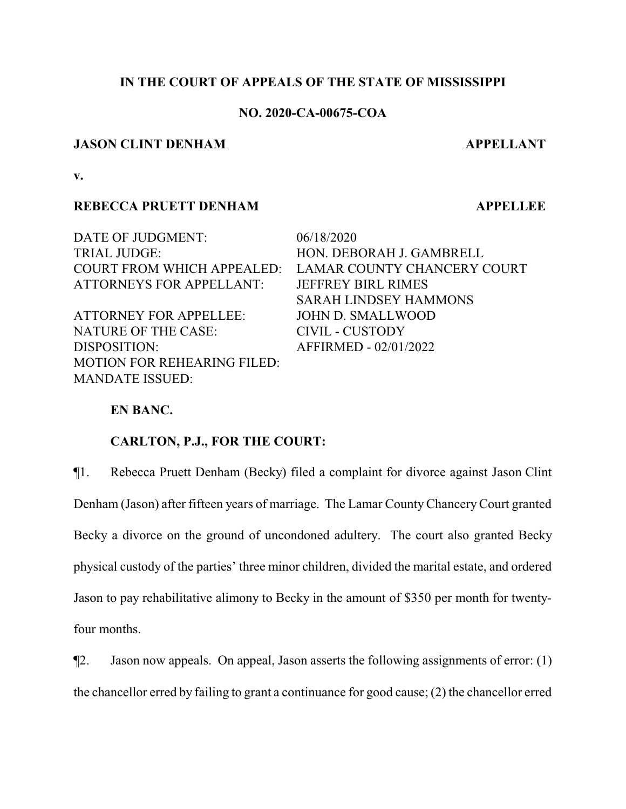## **IN THE COURT OF APPEALS OF THE STATE OF MISSISSIPPI**

## **NO. 2020-CA-00675-COA**

## **JASON CLINT DENHAM APPELLANT**

**v.**

## **REBECCA PRUETT DENHAM APPELLEE**

DATE OF JUDGMENT: 06/18/2020 TRIAL JUDGE: HON. DEBORAH J. GAMBRELL COURT FROM WHICH APPEALED: LAMAR COUNTY CHANCERY COURT ATTORNEYS FOR APPELLANT: JEFFREY BIRL RIMES SARAH LINDSEY HAMMONS ATTORNEY FOR APPELLEE: JOHN D. SMALLWOOD NATURE OF THE CASE: CIVIL - CUSTODY DISPOSITION: AFFIRMED - 02/01/2022 MOTION FOR REHEARING FILED:

## **EN BANC.**

MANDATE ISSUED:

## **CARLTON, P.J., FOR THE COURT:**

¶1. Rebecca Pruett Denham (Becky) filed a complaint for divorce against Jason Clint Denham (Jason) after fifteen years of marriage. The Lamar CountyChanceryCourt granted Becky a divorce on the ground of uncondoned adultery. The court also granted Becky physical custody of the parties' three minor children, divided the marital estate, and ordered Jason to pay rehabilitative alimony to Becky in the amount of \$350 per month for twentyfour months.

¶2. Jason now appeals. On appeal, Jason asserts the following assignments of error: (1) the chancellor erred by failing to grant a continuance for good cause; (2) the chancellor erred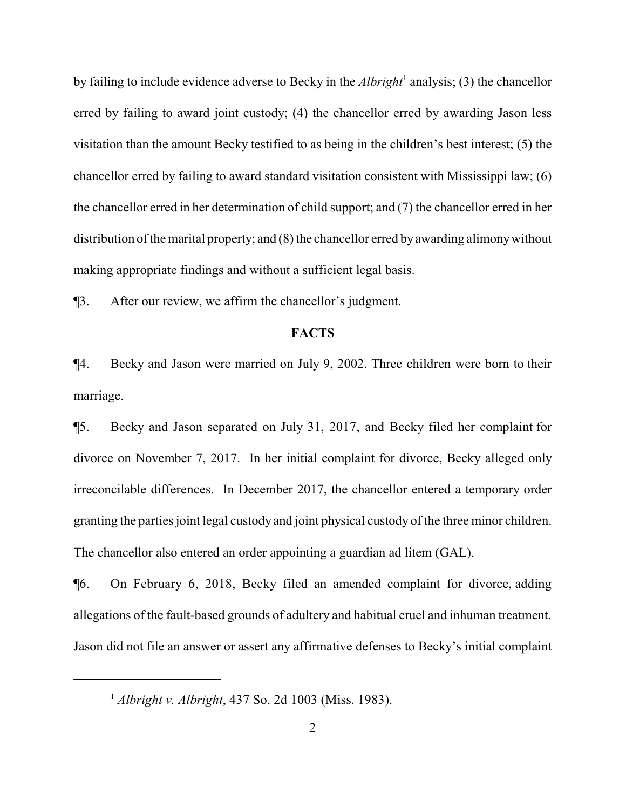by failing to include evidence adverse to Becky in the *Albright*<sup>1</sup> analysis; (3) the chancellor erred by failing to award joint custody; (4) the chancellor erred by awarding Jason less visitation than the amount Becky testified to as being in the children's best interest; (5) the chancellor erred by failing to award standard visitation consistent with Mississippi law; (6) the chancellor erred in her determination of child support; and (7) the chancellor erred in her distribution of the marital property; and  $(8)$  the chancellor erred by awarding alimony without making appropriate findings and without a sufficient legal basis.

¶3. After our review, we affirm the chancellor's judgment.

## **FACTS**

¶4. Becky and Jason were married on July 9, 2002. Three children were born to their marriage.

¶5. Becky and Jason separated on July 31, 2017, and Becky filed her complaint for divorce on November 7, 2017. In her initial complaint for divorce, Becky alleged only irreconcilable differences. In December 2017, the chancellor entered a temporary order granting the parties joint legal custody and joint physical custody of the three minor children. The chancellor also entered an order appointing a guardian ad litem (GAL).

¶6. On February 6, 2018, Becky filed an amended complaint for divorce, adding allegations of the fault-based grounds of adultery and habitual cruel and inhuman treatment. Jason did not file an answer or assert any affirmative defenses to Becky's initial complaint

<sup>1</sup> *Albright v. Albright*, 437 So. 2d 1003 (Miss. 1983).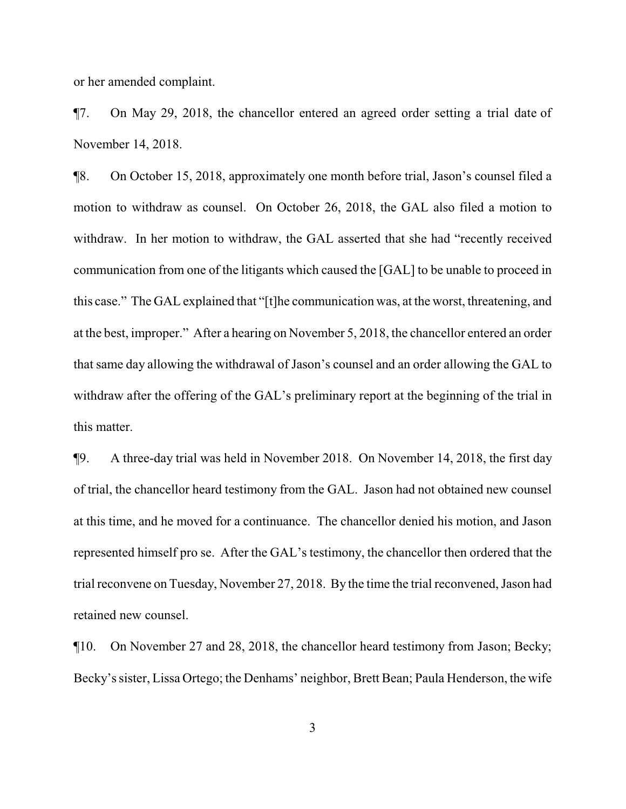or her amended complaint.

¶7. On May 29, 2018, the chancellor entered an agreed order setting a trial date of November 14, 2018.

¶8. On October 15, 2018, approximately one month before trial, Jason's counsel filed a motion to withdraw as counsel. On October 26, 2018, the GAL also filed a motion to withdraw. In her motion to withdraw, the GAL asserted that she had "recently received communication from one of the litigants which caused the [GAL] to be unable to proceed in this case." The GAL explained that "[t]he communication was, at the worst, threatening, and at the best, improper." After a hearing on November 5, 2018, the chancellor entered an order that same day allowing the withdrawal of Jason's counsel and an order allowing the GAL to withdraw after the offering of the GAL's preliminary report at the beginning of the trial in this matter.

¶9. A three-day trial was held in November 2018. On November 14, 2018, the first day of trial, the chancellor heard testimony from the GAL. Jason had not obtained new counsel at this time, and he moved for a continuance. The chancellor denied his motion, and Jason represented himself pro se. After the GAL's testimony, the chancellor then ordered that the trial reconvene on Tuesday, November 27, 2018. By the time the trial reconvened, Jason had retained new counsel.

¶10. On November 27 and 28, 2018, the chancellor heard testimony from Jason; Becky; Becky's sister, Lissa Ortego; the Denhams' neighbor, Brett Bean; Paula Henderson, the wife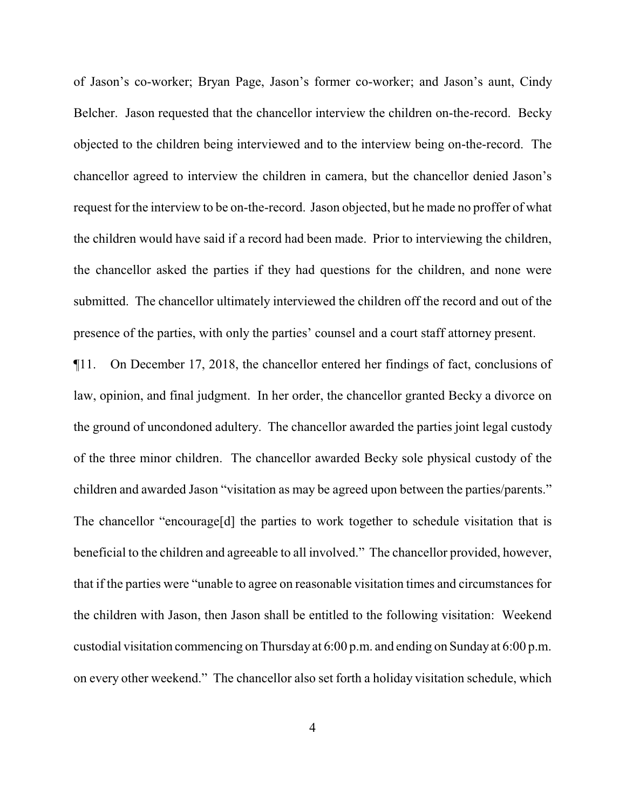of Jason's co-worker; Bryan Page, Jason's former co-worker; and Jason's aunt, Cindy Belcher. Jason requested that the chancellor interview the children on-the-record. Becky objected to the children being interviewed and to the interview being on-the-record. The chancellor agreed to interview the children in camera, but the chancellor denied Jason's request for the interview to be on-the-record. Jason objected, but he made no proffer of what the children would have said if a record had been made. Prior to interviewing the children, the chancellor asked the parties if they had questions for the children, and none were submitted. The chancellor ultimately interviewed the children off the record and out of the presence of the parties, with only the parties' counsel and a court staff attorney present.

¶11. On December 17, 2018, the chancellor entered her findings of fact, conclusions of law, opinion, and final judgment. In her order, the chancellor granted Becky a divorce on the ground of uncondoned adultery. The chancellor awarded the parties joint legal custody of the three minor children. The chancellor awarded Becky sole physical custody of the children and awarded Jason "visitation as may be agreed upon between the parties/parents." The chancellor "encourage[d] the parties to work together to schedule visitation that is beneficial to the children and agreeable to all involved." The chancellor provided, however, that if the parties were "unable to agree on reasonable visitation times and circumstances for the children with Jason, then Jason shall be entitled to the following visitation: Weekend custodial visitation commencing on Thursday at 6:00 p.m. and ending on Sunday at 6:00 p.m. on every other weekend." The chancellor also set forth a holiday visitation schedule, which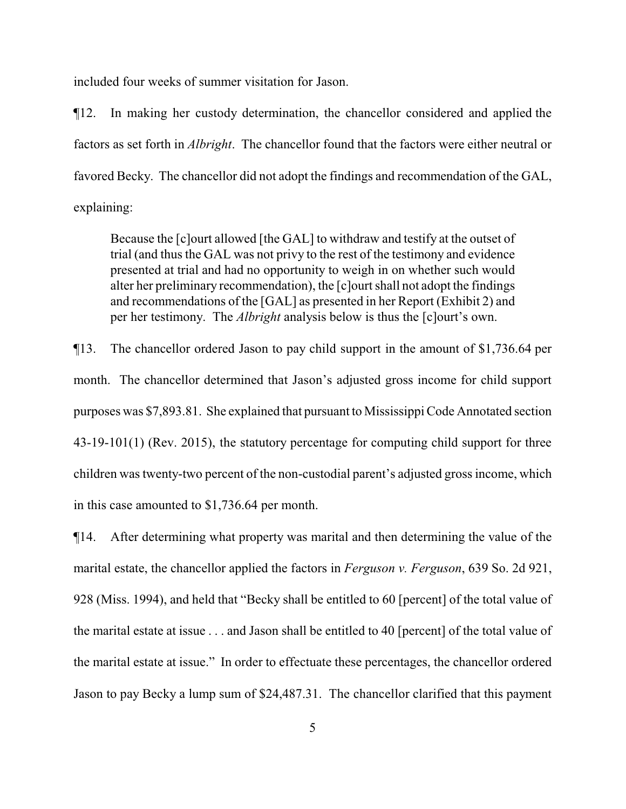included four weeks of summer visitation for Jason.

¶12. In making her custody determination, the chancellor considered and applied the factors as set forth in *Albright*. The chancellor found that the factors were either neutral or favored Becky. The chancellor did not adopt the findings and recommendation of the GAL, explaining:

Because the [c]ourt allowed [the GAL] to withdraw and testify at the outset of trial (and thus the GAL was not privy to the rest of the testimony and evidence presented at trial and had no opportunity to weigh in on whether such would alter her preliminary recommendation), the [c]ourt shall not adopt the findings and recommendations of the [GAL] as presented in her Report (Exhibit 2) and per her testimony. The *Albright* analysis below is thus the [c]ourt's own.

¶13. The chancellor ordered Jason to pay child support in the amount of \$1,736.64 per month. The chancellor determined that Jason's adjusted gross income for child support purposes was \$7,893.81. She explained that pursuant to Mississippi Code Annotated section 43-19-101(1) (Rev. 2015), the statutory percentage for computing child support for three children was twenty-two percent of the non-custodial parent's adjusted gross income, which in this case amounted to \$1,736.64 per month.

¶14. After determining what property was marital and then determining the value of the marital estate, the chancellor applied the factors in *Ferguson v. Ferguson*, 639 So. 2d 921, 928 (Miss. 1994), and held that "Becky shall be entitled to 60 [percent] of the total value of the marital estate at issue . . . and Jason shall be entitled to 40 [percent] of the total value of the marital estate at issue." In order to effectuate these percentages, the chancellor ordered Jason to pay Becky a lump sum of \$24,487.31. The chancellor clarified that this payment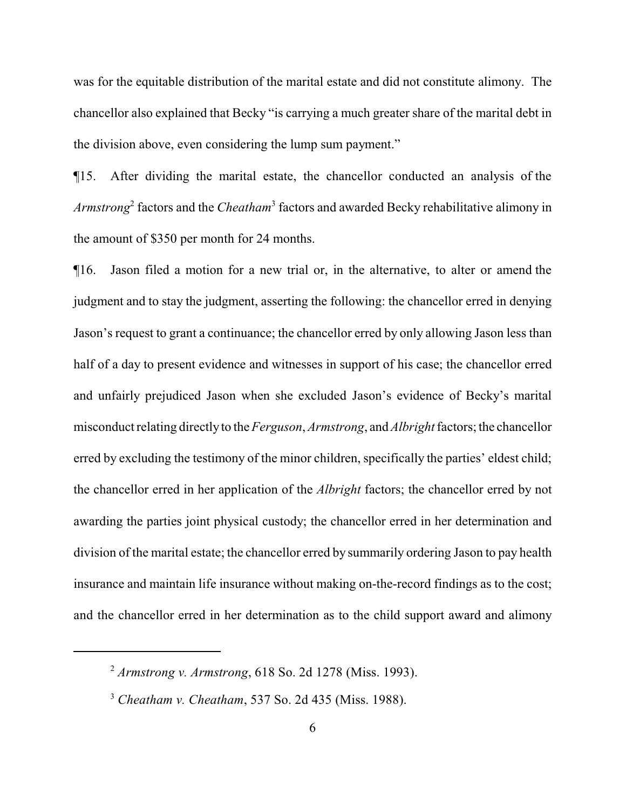was for the equitable distribution of the marital estate and did not constitute alimony. The chancellor also explained that Becky "is carrying a much greater share of the marital debt in the division above, even considering the lump sum payment."

¶15. After dividing the marital estate, the chancellor conducted an analysis of the *Armstrong*<sup>2</sup> factors and the *Cheatham*<sup>3</sup> factors and awarded Becky rehabilitative alimony in the amount of \$350 per month for 24 months.

¶16. Jason filed a motion for a new trial or, in the alternative, to alter or amend the judgment and to stay the judgment, asserting the following: the chancellor erred in denying Jason's request to grant a continuance; the chancellor erred by only allowing Jason less than half of a day to present evidence and witnesses in support of his case; the chancellor erred and unfairly prejudiced Jason when she excluded Jason's evidence of Becky's marital misconduct relating directlyto the *Ferguson*, *Armstrong*, and *Albright* factors; the chancellor erred by excluding the testimony of the minor children, specifically the parties' eldest child; the chancellor erred in her application of the *Albright* factors; the chancellor erred by not awarding the parties joint physical custody; the chancellor erred in her determination and division of the marital estate; the chancellor erred by summarily ordering Jason to pay health insurance and maintain life insurance without making on-the-record findings as to the cost; and the chancellor erred in her determination as to the child support award and alimony

<sup>2</sup> *Armstrong v. Armstrong*, 618 So. 2d 1278 (Miss. 1993).

<sup>3</sup> *Cheatham v. Cheatham*, 537 So. 2d 435 (Miss. 1988).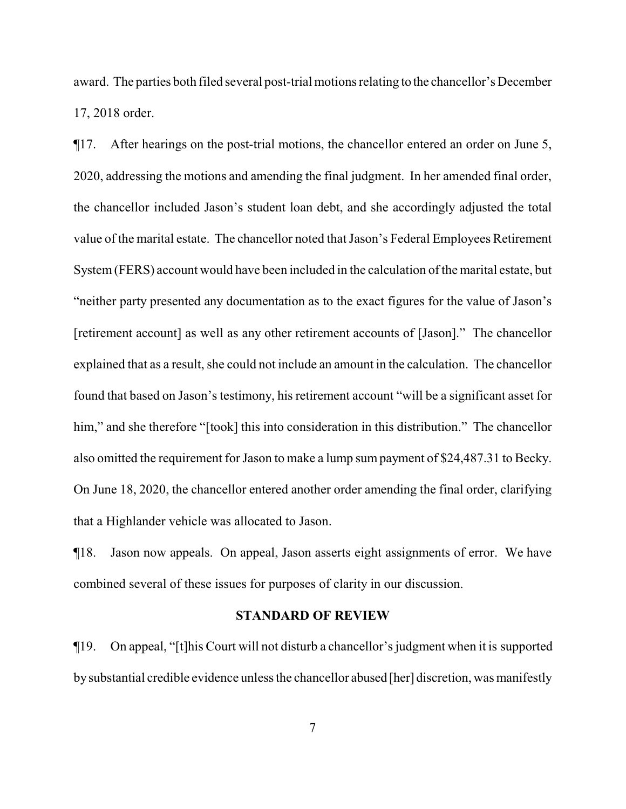award. The parties both filed several post-trial motions relating to the chancellor's December 17, 2018 order.

¶17. After hearings on the post-trial motions, the chancellor entered an order on June 5, 2020, addressing the motions and amending the final judgment. In her amended final order, the chancellor included Jason's student loan debt, and she accordingly adjusted the total value of the marital estate. The chancellor noted that Jason's Federal Employees Retirement System(FERS) account would have been included in the calculation of the marital estate, but "neither party presented any documentation as to the exact figures for the value of Jason's [retirement account] as well as any other retirement accounts of [Jason]." The chancellor explained that as a result, she could not include an amount in the calculation. The chancellor found that based on Jason's testimony, his retirement account "will be a significant asset for him," and she therefore "[took] this into consideration in this distribution." The chancellor also omitted the requirement for Jason to make a lump sumpayment of \$24,487.31 to Becky. On June 18, 2020, the chancellor entered another order amending the final order, clarifying that a Highlander vehicle was allocated to Jason.

¶18. Jason now appeals. On appeal, Jason asserts eight assignments of error. We have combined several of these issues for purposes of clarity in our discussion.

#### **STANDARD OF REVIEW**

¶19. On appeal, "[t]his Court will not disturb a chancellor's judgment when it is supported bysubstantial credible evidence unless the chancellor abused [her] discretion, was manifestly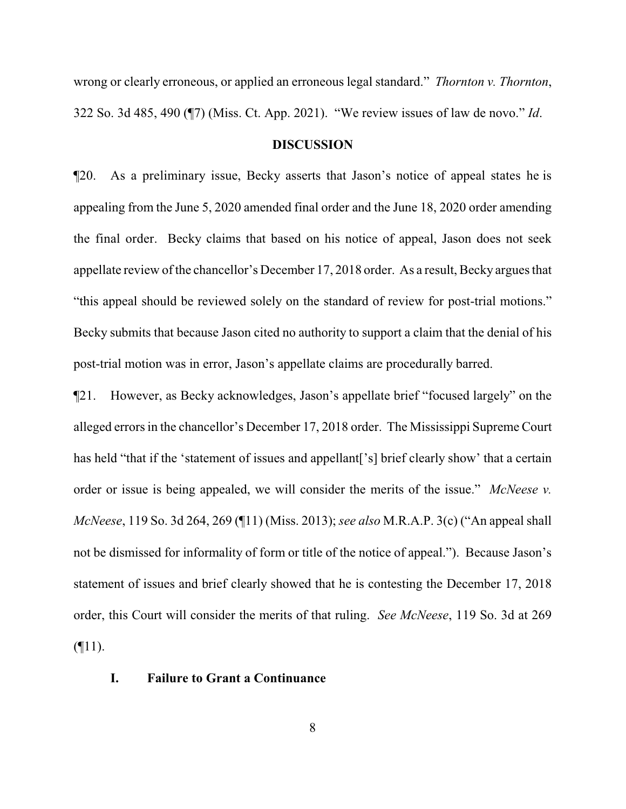wrong or clearly erroneous, or applied an erroneous legal standard." *Thornton v. Thornton*, 322 So. 3d 485, 490 (¶7) (Miss. Ct. App. 2021). "We review issues of law de novo." *Id*.

#### **DISCUSSION**

¶20. As a preliminary issue, Becky asserts that Jason's notice of appeal states he is appealing from the June 5, 2020 amended final order and the June 18, 2020 order amending the final order. Becky claims that based on his notice of appeal, Jason does not seek appellate review of the chancellor's December 17, 2018 order. As a result, Becky argues that "this appeal should be reviewed solely on the standard of review for post-trial motions." Becky submits that because Jason cited no authority to support a claim that the denial of his post-trial motion was in error, Jason's appellate claims are procedurally barred.

¶21. However, as Becky acknowledges, Jason's appellate brief "focused largely" on the alleged errors in the chancellor's December 17, 2018 order. The Mississippi Supreme Court has held "that if the 'statement of issues and appellant<sup>['s]</sup> brief clearly show' that a certain order or issue is being appealed, we will consider the merits of the issue." *McNeese v. McNeese*, 119 So. 3d 264, 269 (¶11) (Miss. 2013); *see also* M.R.A.P. 3(c) ("An appeal shall not be dismissed for informality of form or title of the notice of appeal."). Because Jason's statement of issues and brief clearly showed that he is contesting the December 17, 2018 order, this Court will consider the merits of that ruling. *See McNeese*, 119 So. 3d at 269  $($ 

## **I. Failure to Grant a Continuance**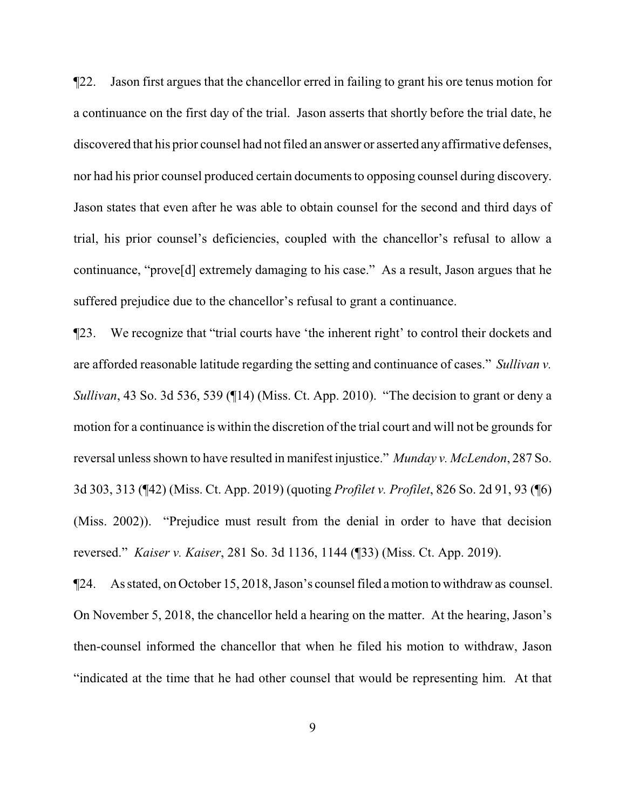¶22. Jason first argues that the chancellor erred in failing to grant his ore tenus motion for a continuance on the first day of the trial. Jason asserts that shortly before the trial date, he discovered that his prior counsel had not filed an answer or asserted anyaffirmative defenses, nor had his prior counsel produced certain documents to opposing counsel during discovery. Jason states that even after he was able to obtain counsel for the second and third days of trial, his prior counsel's deficiencies, coupled with the chancellor's refusal to allow a continuance, "prove[d] extremely damaging to his case." As a result, Jason argues that he suffered prejudice due to the chancellor's refusal to grant a continuance.

¶23. We recognize that "trial courts have 'the inherent right' to control their dockets and are afforded reasonable latitude regarding the setting and continuance of cases." *Sullivan v. Sullivan*, 43 So. 3d 536, 539 (¶14) (Miss. Ct. App. 2010). "The decision to grant or deny a motion for a continuance is within the discretion of the trial court and will not be grounds for reversal unless shown to have resulted in manifest injustice." *Munday v. McLendon*, 287 So. 3d 303, 313 (¶42) (Miss. Ct. App. 2019) (quoting *Profilet v. Profilet*, 826 So. 2d 91, 93 (¶6) (Miss. 2002)). "Prejudice must result from the denial in order to have that decision reversed." *Kaiser v. Kaiser*, 281 So. 3d 1136, 1144 (¶33) (Miss. Ct. App. 2019).

¶24. As stated, on October 15, 2018, Jason's counsel filed amotion to withdraw as counsel. On November 5, 2018, the chancellor held a hearing on the matter. At the hearing, Jason's then-counsel informed the chancellor that when he filed his motion to withdraw, Jason "indicated at the time that he had other counsel that would be representing him. At that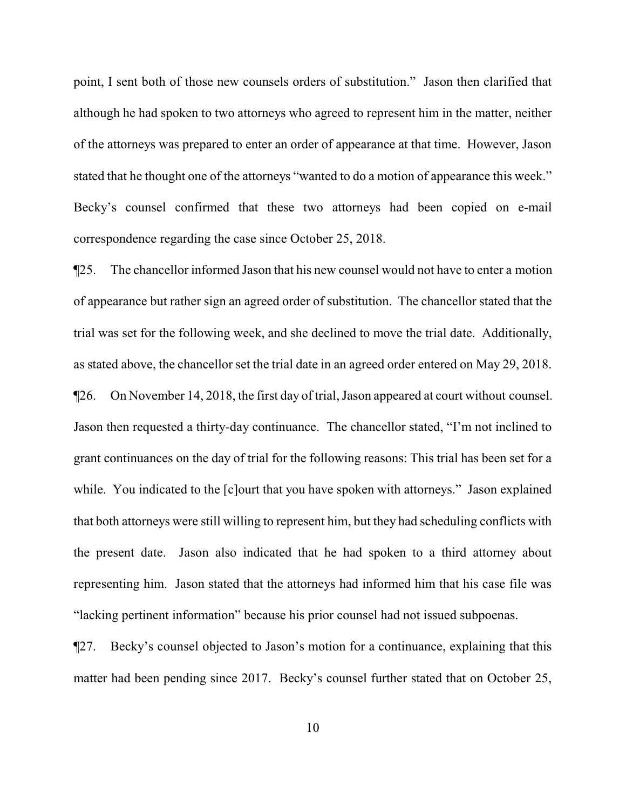point, I sent both of those new counsels orders of substitution." Jason then clarified that although he had spoken to two attorneys who agreed to represent him in the matter, neither of the attorneys was prepared to enter an order of appearance at that time. However, Jason stated that he thought one of the attorneys "wanted to do a motion of appearance this week." Becky's counsel confirmed that these two attorneys had been copied on e-mail correspondence regarding the case since October 25, 2018.

¶25. The chancellor informed Jason that his new counsel would not have to enter a motion of appearance but rather sign an agreed order of substitution. The chancellor stated that the trial was set for the following week, and she declined to move the trial date. Additionally, as stated above, the chancellor set the trial date in an agreed order entered on May 29, 2018. ¶26. On November 14, 2018, the first day of trial, Jason appeared at court without counsel. Jason then requested a thirty-day continuance. The chancellor stated, "I'm not inclined to grant continuances on the day of trial for the following reasons: This trial has been set for a while. You indicated to the [c]ourt that you have spoken with attorneys." Jason explained that both attorneys were still willing to represent him, but they had scheduling conflicts with the present date. Jason also indicated that he had spoken to a third attorney about representing him. Jason stated that the attorneys had informed him that his case file was "lacking pertinent information" because his prior counsel had not issued subpoenas.

¶27. Becky's counsel objected to Jason's motion for a continuance, explaining that this matter had been pending since 2017. Becky's counsel further stated that on October 25,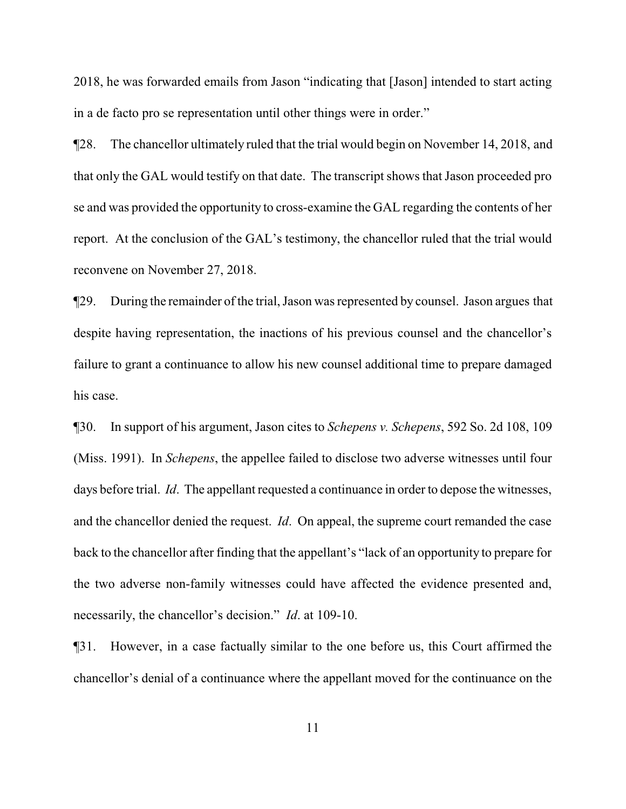2018, he was forwarded emails from Jason "indicating that [Jason] intended to start acting in a de facto pro se representation until other things were in order."

¶28. The chancellor ultimately ruled that the trial would begin on November 14, 2018, and that only the GAL would testify on that date. The transcript shows that Jason proceeded pro se and was provided the opportunity to cross-examine the GAL regarding the contents of her report. At the conclusion of the GAL's testimony, the chancellor ruled that the trial would reconvene on November 27, 2018.

¶29. During the remainder of the trial, Jason was represented by counsel. Jason argues that despite having representation, the inactions of his previous counsel and the chancellor's failure to grant a continuance to allow his new counsel additional time to prepare damaged his case.

¶30. In support of his argument, Jason cites to *Schepens v. Schepens*, 592 So. 2d 108, 109 (Miss. 1991). In *Schepens*, the appellee failed to disclose two adverse witnesses until four days before trial. *Id*. The appellant requested a continuance in order to depose the witnesses, and the chancellor denied the request. *Id*. On appeal, the supreme court remanded the case back to the chancellor after finding that the appellant's "lack of an opportunity to prepare for the two adverse non-family witnesses could have affected the evidence presented and, necessarily, the chancellor's decision." *Id*. at 109-10.

¶31. However, in a case factually similar to the one before us, this Court affirmed the chancellor's denial of a continuance where the appellant moved for the continuance on the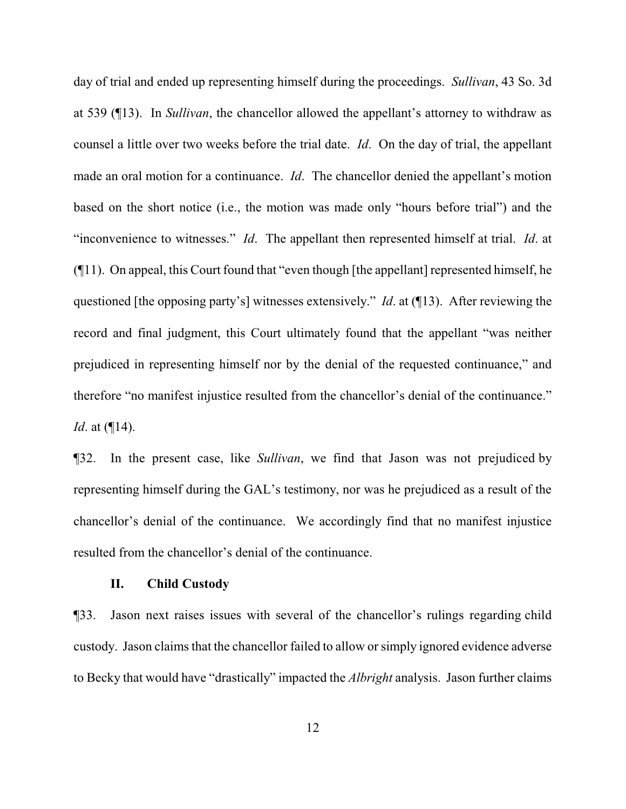day of trial and ended up representing himself during the proceedings. *Sullivan*, 43 So. 3d at 539 (¶13). In *Sullivan*, the chancellor allowed the appellant's attorney to withdraw as counsel a little over two weeks before the trial date. *Id*. On the day of trial, the appellant made an oral motion for a continuance. *Id*. The chancellor denied the appellant's motion based on the short notice (i.e., the motion was made only "hours before trial") and the "inconvenience to witnesses." *Id*. The appellant then represented himself at trial. *Id*. at (¶11). On appeal, this Court found that "even though [the appellant] represented himself, he questioned [the opposing party's] witnesses extensively." *Id*. at (¶13). After reviewing the record and final judgment, this Court ultimately found that the appellant "was neither prejudiced in representing himself nor by the denial of the requested continuance," and therefore "no manifest injustice resulted from the chancellor's denial of the continuance." *Id*. at (¶14).

¶32. In the present case, like *Sullivan*, we find that Jason was not prejudiced by representing himself during the GAL's testimony, nor was he prejudiced as a result of the chancellor's denial of the continuance. We accordingly find that no manifest injustice resulted from the chancellor's denial of the continuance.

## **II. Child Custody**

¶33. Jason next raises issues with several of the chancellor's rulings regarding child custody. Jason claims that the chancellor failed to allow or simply ignored evidence adverse to Becky that would have "drastically" impacted the *Albright* analysis. Jason further claims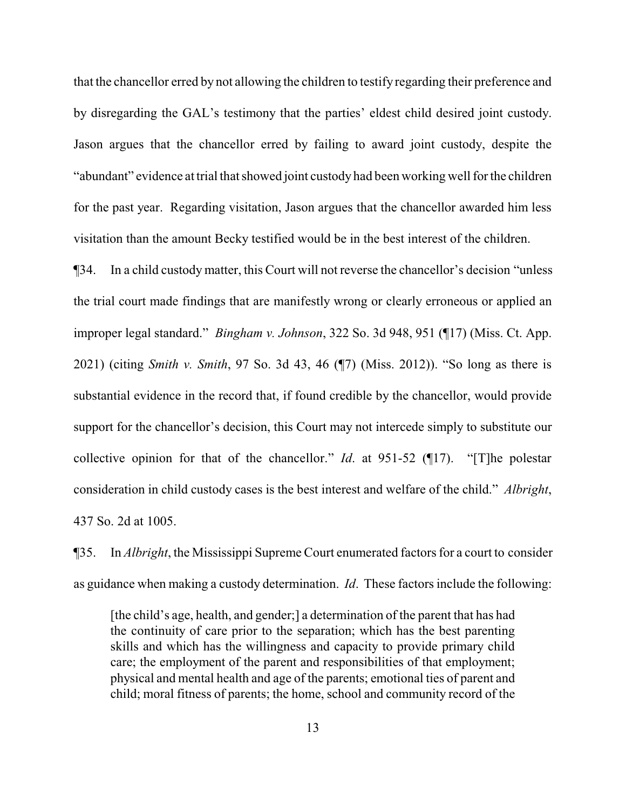that the chancellor erred by not allowing the children to testify regarding their preference and by disregarding the GAL's testimony that the parties' eldest child desired joint custody. Jason argues that the chancellor erred by failing to award joint custody, despite the "abundant" evidence at trial that showed joint custody had been working well for the children for the past year. Regarding visitation, Jason argues that the chancellor awarded him less visitation than the amount Becky testified would be in the best interest of the children.

¶34. In a child custody matter, this Court will not reverse the chancellor's decision "unless the trial court made findings that are manifestly wrong or clearly erroneous or applied an improper legal standard." *Bingham v. Johnson*, 322 So. 3d 948, 951 (¶17) (Miss. Ct. App. 2021) (citing *Smith v. Smith*, 97 So. 3d 43, 46 (¶7) (Miss. 2012)). "So long as there is substantial evidence in the record that, if found credible by the chancellor, would provide support for the chancellor's decision, this Court may not intercede simply to substitute our collective opinion for that of the chancellor." *Id*. at 951-52 (¶17). "[T]he polestar consideration in child custody cases is the best interest and welfare of the child." *Albright*, 437 So. 2d at 1005.

¶35. In *Albright*, the Mississippi Supreme Court enumerated factors for a court to consider as guidance when making a custody determination. *Id*. These factors include the following:

[the child's age, health, and gender;] a determination of the parent that has had the continuity of care prior to the separation; which has the best parenting skills and which has the willingness and capacity to provide primary child care; the employment of the parent and responsibilities of that employment; physical and mental health and age of the parents; emotional ties of parent and child; moral fitness of parents; the home, school and community record of the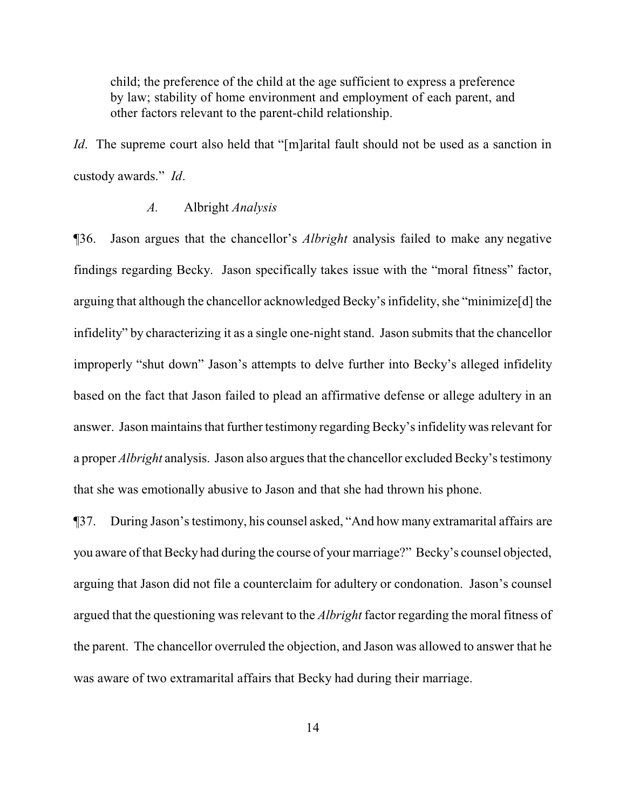child; the preference of the child at the age sufficient to express a preference by law; stability of home environment and employment of each parent, and other factors relevant to the parent-child relationship.

*Id*. The supreme court also held that "[m]arital fault should not be used as a sanction in custody awards." *Id*.

## *A.* Albright *Analysis*

¶36. Jason argues that the chancellor's *Albright* analysis failed to make any negative findings regarding Becky. Jason specifically takes issue with the "moral fitness" factor, arguing that although the chancellor acknowledged Becky's infidelity, she "minimize[d] the infidelity" by characterizing it as a single one-night stand. Jason submits that the chancellor improperly "shut down" Jason's attempts to delve further into Becky's alleged infidelity based on the fact that Jason failed to plead an affirmative defense or allege adultery in an answer. Jason maintains that further testimony regarding Becky's infidelity was relevant for a proper *Albright* analysis. Jason also argues that the chancellor excluded Becky's testimony that she was emotionally abusive to Jason and that she had thrown his phone.

¶37. During Jason's testimony, his counsel asked, "And how many extramarital affairs are you aware of that Becky had during the course of your marriage?" Becky's counsel objected, arguing that Jason did not file a counterclaim for adultery or condonation. Jason's counsel argued that the questioning was relevant to the *Albright* factor regarding the moral fitness of the parent. The chancellor overruled the objection, and Jason was allowed to answer that he was aware of two extramarital affairs that Becky had during their marriage.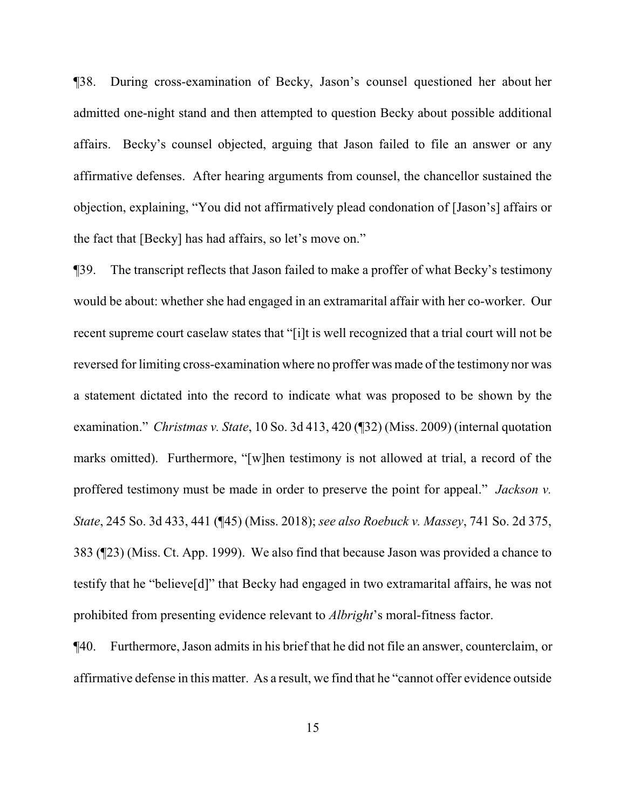¶38. During cross-examination of Becky, Jason's counsel questioned her about her admitted one-night stand and then attempted to question Becky about possible additional affairs. Becky's counsel objected, arguing that Jason failed to file an answer or any affirmative defenses. After hearing arguments from counsel, the chancellor sustained the objection, explaining, "You did not affirmatively plead condonation of [Jason's] affairs or the fact that [Becky] has had affairs, so let's move on."

¶39. The transcript reflects that Jason failed to make a proffer of what Becky's testimony would be about: whether she had engaged in an extramarital affair with her co-worker. Our recent supreme court caselaw states that "[i]t is well recognized that a trial court will not be reversed for limiting cross-examination where no proffer was made of the testimony nor was a statement dictated into the record to indicate what was proposed to be shown by the examination." *Christmas v. State*, 10 So. 3d 413, 420 (¶32) (Miss. 2009) (internal quotation marks omitted). Furthermore, "[w]hen testimony is not allowed at trial, a record of the proffered testimony must be made in order to preserve the point for appeal." *Jackson v. State*, 245 So. 3d 433, 441 (¶45) (Miss. 2018); *see also Roebuck v. Massey*, 741 So. 2d 375, 383 (¶23) (Miss. Ct. App. 1999). We also find that because Jason was provided a chance to testify that he "believe[d]" that Becky had engaged in two extramarital affairs, he was not prohibited from presenting evidence relevant to *Albright*'s moral-fitness factor.

¶40. Furthermore, Jason admits in his brief that he did not file an answer, counterclaim, or affirmative defense in this matter. As a result, we find that he "cannot offer evidence outside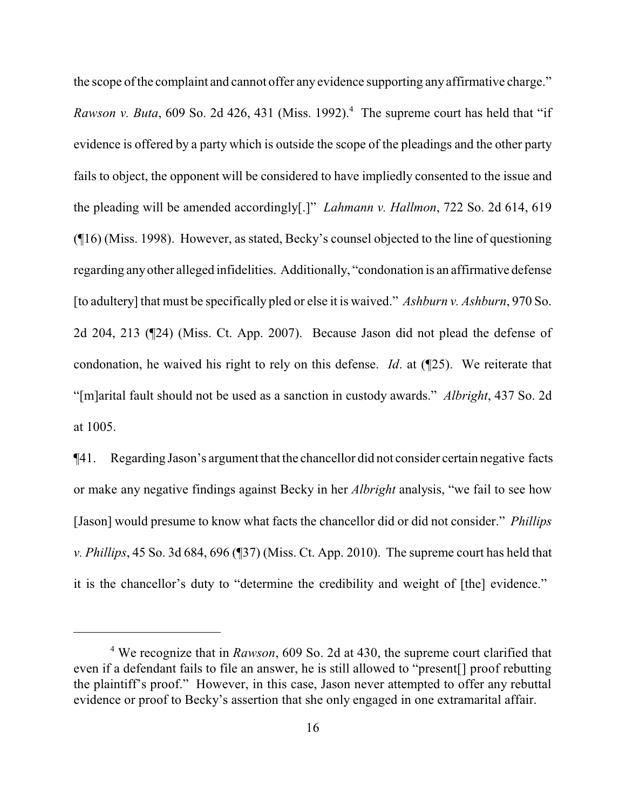the scope of the complaint and cannot offer any evidence supporting any affirmative charge." *Rawson v. Buta*, 609 So. 2d 426, 431 (Miss. 1992).<sup>4</sup> The supreme court has held that "if evidence is offered by a party which is outside the scope of the pleadings and the other party fails to object, the opponent will be considered to have impliedly consented to the issue and the pleading will be amended accordingly[.]" *Lahmann v. Hallmon*, 722 So. 2d 614, 619 (¶16) (Miss. 1998). However, as stated, Becky's counsel objected to the line of questioning regarding anyother alleged infidelities. Additionally, "condonation is an affirmative defense [to adultery] that must be specifically pled or else it is waived." *Ashburn v. Ashburn*, 970 So. 2d 204, 213 (¶24) (Miss. Ct. App. 2007). Because Jason did not plead the defense of condonation, he waived his right to rely on this defense. *Id*. at (¶25). We reiterate that "[m]arital fault should not be used as a sanction in custody awards." *Albright*, 437 So. 2d at 1005.

¶41. Regarding Jason's argument that the chancellor did not consider certain negative facts or make any negative findings against Becky in her *Albright* analysis, "we fail to see how [Jason] would presume to know what facts the chancellor did or did not consider." *Phillips v. Phillips*, 45 So. 3d 684, 696 (¶37) (Miss. Ct. App. 2010). The supreme court has held that it is the chancellor's duty to "determine the credibility and weight of [the] evidence."

<sup>4</sup> We recognize that in *Rawson*, 609 So. 2d at 430, the supreme court clarified that even if a defendant fails to file an answer, he is still allowed to "present[] proof rebutting the plaintiff's proof." However, in this case, Jason never attempted to offer any rebuttal evidence or proof to Becky's assertion that she only engaged in one extramarital affair.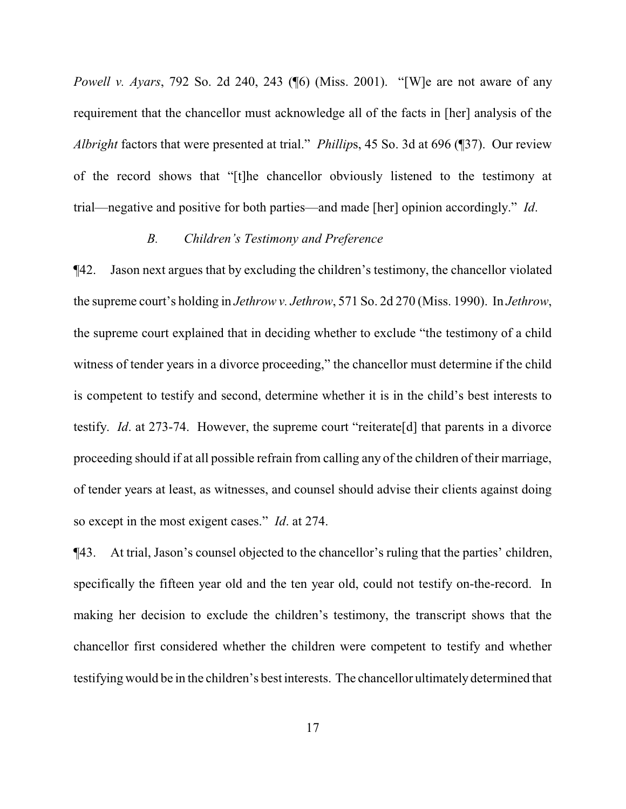*Powell v. Ayars*, 792 So. 2d 240, 243 (¶6) (Miss. 2001). "[W]e are not aware of any requirement that the chancellor must acknowledge all of the facts in [her] analysis of the *Albright* factors that were presented at trial." *Phillip*s, 45 So. 3d at 696 (¶37). Our review of the record shows that "[t]he chancellor obviously listened to the testimony at trial—negative and positive for both parties—and made [her] opinion accordingly." *Id*.

## *B. Children's Testimony and Preference*

¶42. Jason next argues that by excluding the children's testimony, the chancellor violated the supreme court's holding in *Jethrow v. Jethrow*, 571 So. 2d 270 (Miss. 1990). In *Jethrow*, the supreme court explained that in deciding whether to exclude "the testimony of a child witness of tender years in a divorce proceeding," the chancellor must determine if the child is competent to testify and second, determine whether it is in the child's best interests to testify. *Id*. at 273-74. However, the supreme court "reiterate[d] that parents in a divorce proceeding should if at all possible refrain from calling any of the children of their marriage, of tender years at least, as witnesses, and counsel should advise their clients against doing so except in the most exigent cases." *Id*. at 274.

¶43. At trial, Jason's counsel objected to the chancellor's ruling that the parties' children, specifically the fifteen year old and the ten year old, could not testify on-the-record. In making her decision to exclude the children's testimony, the transcript shows that the chancellor first considered whether the children were competent to testify and whether testifying would be in the children's best interests. The chancellor ultimately determined that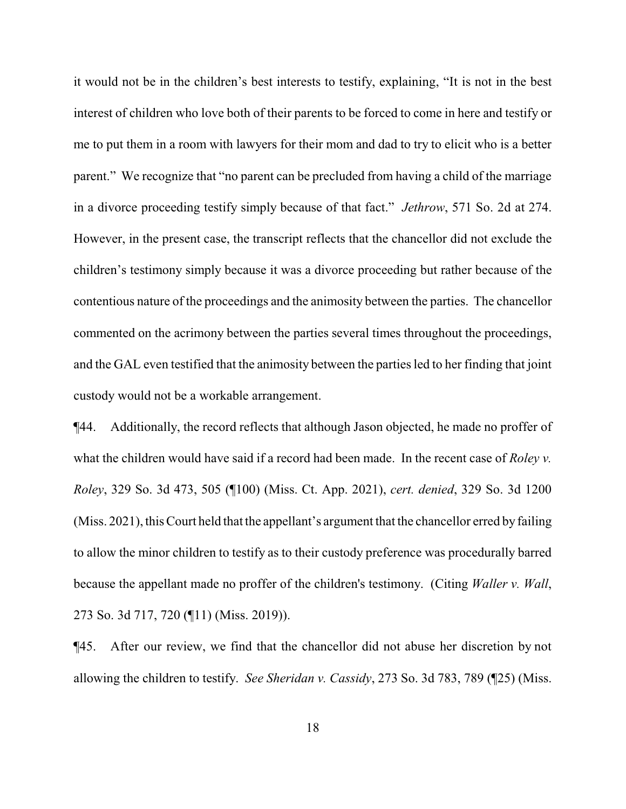it would not be in the children's best interests to testify, explaining, "It is not in the best interest of children who love both of their parents to be forced to come in here and testify or me to put them in a room with lawyers for their mom and dad to try to elicit who is a better parent." We recognize that "no parent can be precluded from having a child of the marriage in a divorce proceeding testify simply because of that fact." *Jethrow*, 571 So. 2d at 274. However, in the present case, the transcript reflects that the chancellor did not exclude the children's testimony simply because it was a divorce proceeding but rather because of the contentious nature of the proceedings and the animosity between the parties. The chancellor commented on the acrimony between the parties several times throughout the proceedings, and the GAL even testified that the animosity between the parties led to her finding that joint custody would not be a workable arrangement.

¶44. Additionally, the record reflects that although Jason objected, he made no proffer of what the children would have said if a record had been made. In the recent case of *Roley v. Roley*, 329 So. 3d 473, 505 (¶100) (Miss. Ct. App. 2021), *cert. denied*, 329 So. 3d 1200 (Miss. 2021), this Court held that the appellant's argument that the chancellor erred by failing to allow the minor children to testify as to their custody preference was procedurally barred because the appellant made no proffer of the children's testimony. (Citing *Waller v. Wall*, 273 So. 3d 717, 720 (¶11) (Miss. 2019)).

¶45. After our review, we find that the chancellor did not abuse her discretion by not allowing the children to testify. *See Sheridan v. Cassidy*, 273 So. 3d 783, 789 (¶25) (Miss.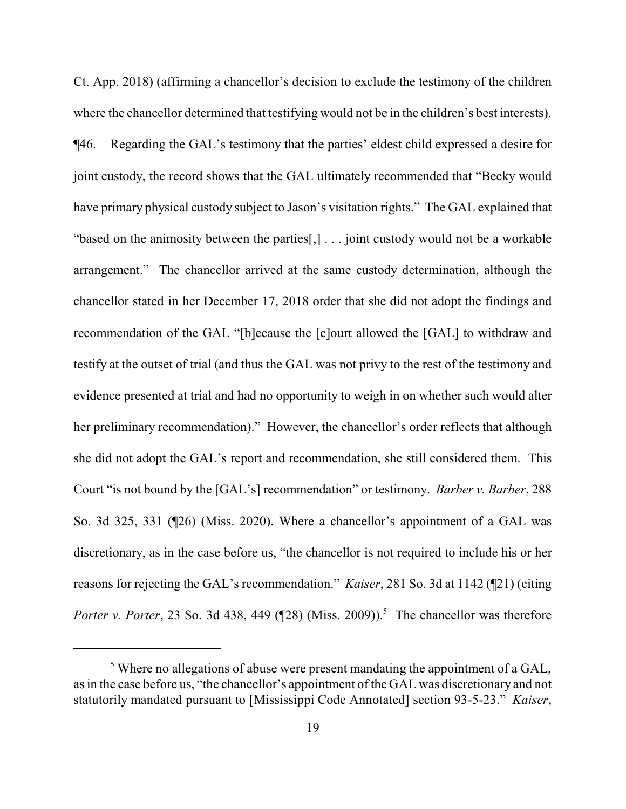Ct. App. 2018) (affirming a chancellor's decision to exclude the testimony of the children where the chancellor determined that testifying would not be in the children's best interests). ¶46. Regarding the GAL's testimony that the parties' eldest child expressed a desire for joint custody, the record shows that the GAL ultimately recommended that "Becky would have primary physical custody subject to Jason's visitation rights." The GAL explained that "based on the animosity between the parties[,] . . . joint custody would not be a workable arrangement." The chancellor arrived at the same custody determination, although the chancellor stated in her December 17, 2018 order that she did not adopt the findings and recommendation of the GAL "[b]ecause the [c]ourt allowed the [GAL] to withdraw and testify at the outset of trial (and thus the GAL was not privy to the rest of the testimony and evidence presented at trial and had no opportunity to weigh in on whether such would alter her preliminary recommendation)." However, the chancellor's order reflects that although she did not adopt the GAL's report and recommendation, she still considered them. This Court "is not bound by the [GAL's] recommendation" or testimony. *Barber v. Barber*, 288 So. 3d 325, 331 (¶26) (Miss. 2020). Where a chancellor's appointment of a GAL was discretionary, as in the case before us, "the chancellor is not required to include his or her reasons for rejecting the GAL's recommendation." *Kaiser*, 281 So. 3d at 1142 (¶21) (citing *Porter v. Porter*, 23 So. 3d 438, 449 (¶28) (Miss. 2009)).<sup>5</sup> The chancellor was therefore

<sup>&</sup>lt;sup>5</sup> Where no allegations of abuse were present mandating the appointment of a GAL, as in the case before us, "the chancellor's appointment of the GAL was discretionary and not statutorily mandated pursuant to [Mississippi Code Annotated] section 93-5-23." *Kaiser*,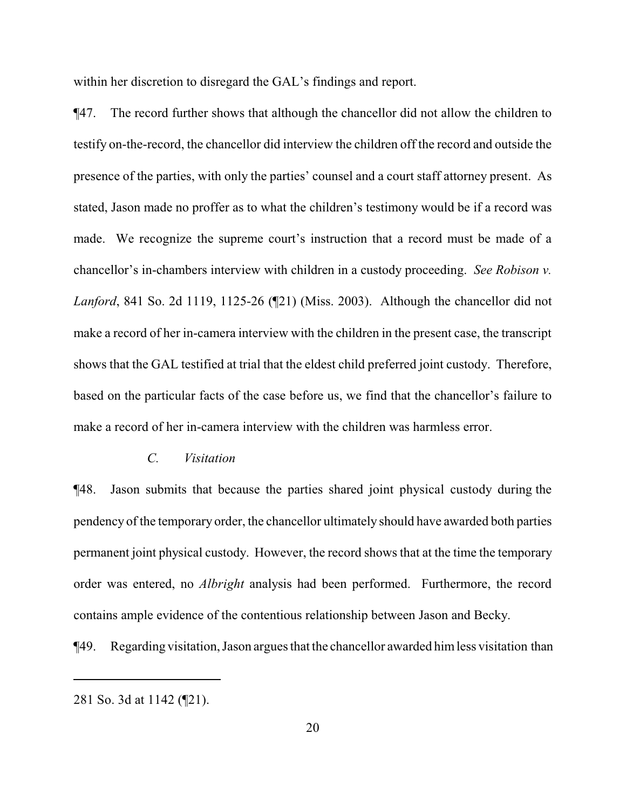within her discretion to disregard the GAL's findings and report.

¶47. The record further shows that although the chancellor did not allow the children to testify on-the-record, the chancellor did interview the children off the record and outside the presence of the parties, with only the parties' counsel and a court staff attorney present. As stated, Jason made no proffer as to what the children's testimony would be if a record was made. We recognize the supreme court's instruction that a record must be made of a chancellor's in-chambers interview with children in a custody proceeding. *See Robison v. Lanford*, 841 So. 2d 1119, 1125-26 (¶21) (Miss. 2003). Although the chancellor did not make a record of her in-camera interview with the children in the present case, the transcript shows that the GAL testified at trial that the eldest child preferred joint custody. Therefore, based on the particular facts of the case before us, we find that the chancellor's failure to make a record of her in-camera interview with the children was harmless error.

## *C. Visitation*

¶48. Jason submits that because the parties shared joint physical custody during the pendency of the temporary order, the chancellor ultimately should have awarded both parties permanent joint physical custody. However, the record shows that at the time the temporary order was entered, no *Albright* analysis had been performed. Furthermore, the record contains ample evidence of the contentious relationship between Jason and Becky.

¶49. Regarding visitation, Jason argues that the chancellor awarded himless visitation than

<sup>281</sup> So. 3d at 1142 (¶21).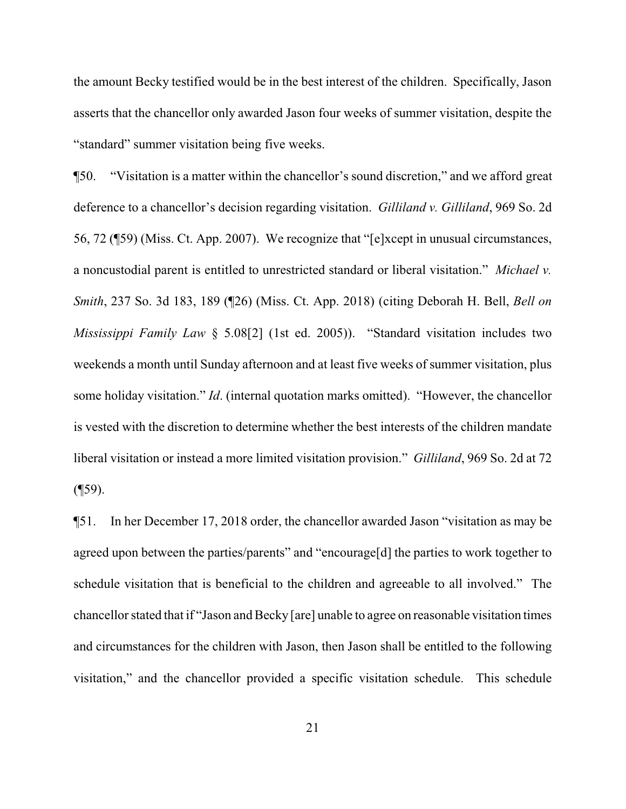the amount Becky testified would be in the best interest of the children. Specifically, Jason asserts that the chancellor only awarded Jason four weeks of summer visitation, despite the "standard" summer visitation being five weeks.

¶50. "Visitation is a matter within the chancellor's sound discretion," and we afford great deference to a chancellor's decision regarding visitation. *Gilliland v. Gilliland*, 969 So. 2d 56, 72 (¶59) (Miss. Ct. App. 2007). We recognize that "[e]xcept in unusual circumstances, a noncustodial parent is entitled to unrestricted standard or liberal visitation." *Michael v. Smith*, 237 So. 3d 183, 189 (¶26) (Miss. Ct. App. 2018) (citing Deborah H. Bell, *Bell on Mississippi Family Law* § 5.08[2] (1st ed. 2005)). "Standard visitation includes two weekends a month until Sunday afternoon and at least five weeks of summer visitation, plus some holiday visitation." *Id*. (internal quotation marks omitted). "However, the chancellor is vested with the discretion to determine whether the best interests of the children mandate liberal visitation or instead a more limited visitation provision." *Gilliland*, 969 So. 2d at 72  $($ [59).

¶51. In her December 17, 2018 order, the chancellor awarded Jason "visitation as may be agreed upon between the parties/parents" and "encourage[d] the parties to work together to schedule visitation that is beneficial to the children and agreeable to all involved." The chancellor stated that if "Jason and Becky [are] unable to agree on reasonable visitation times and circumstances for the children with Jason, then Jason shall be entitled to the following visitation," and the chancellor provided a specific visitation schedule. This schedule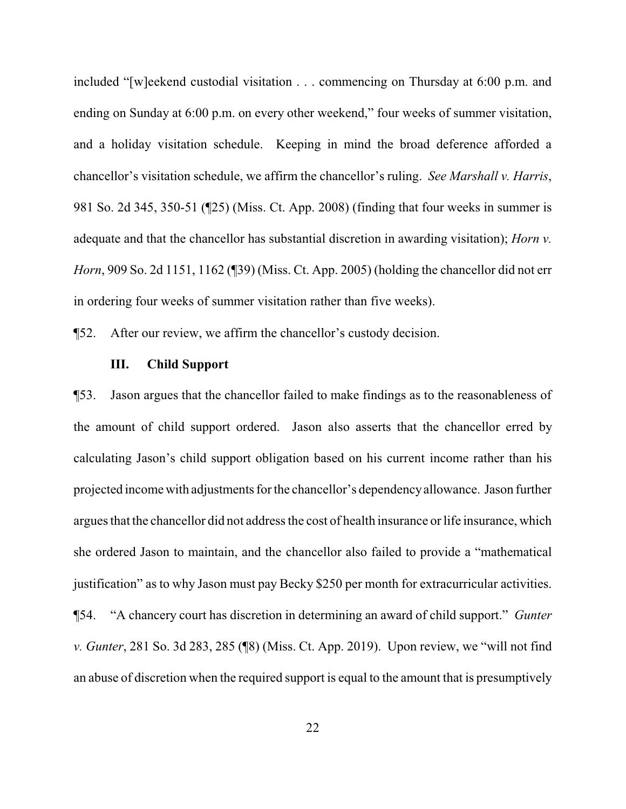included "[w]eekend custodial visitation . . . commencing on Thursday at 6:00 p.m. and ending on Sunday at 6:00 p.m. on every other weekend," four weeks of summer visitation, and a holiday visitation schedule. Keeping in mind the broad deference afforded a chancellor's visitation schedule, we affirm the chancellor's ruling. *See Marshall v. Harris*, 981 So. 2d 345, 350-51 (¶25) (Miss. Ct. App. 2008) (finding that four weeks in summer is adequate and that the chancellor has substantial discretion in awarding visitation); *Horn v. Horn*, 909 So. 2d 1151, 1162 (¶39) (Miss. Ct. App. 2005) (holding the chancellor did not err in ordering four weeks of summer visitation rather than five weeks).

¶52. After our review, we affirm the chancellor's custody decision.

## **III. Child Support**

¶53. Jason argues that the chancellor failed to make findings as to the reasonableness of the amount of child support ordered. Jason also asserts that the chancellor erred by calculating Jason's child support obligation based on his current income rather than his projected income with adjustments for the chancellor's dependencyallowance. Jason further argues that the chancellor did not address the cost of health insurance or life insurance, which she ordered Jason to maintain, and the chancellor also failed to provide a "mathematical justification" as to why Jason must pay Becky \$250 per month for extracurricular activities. ¶54. "A chancery court has discretion in determining an award of child support." *Gunter v. Gunter*, 281 So. 3d 283, 285 (¶8) (Miss. Ct. App. 2019). Upon review, we "will not find an abuse of discretion when the required support is equal to the amount that is presumptively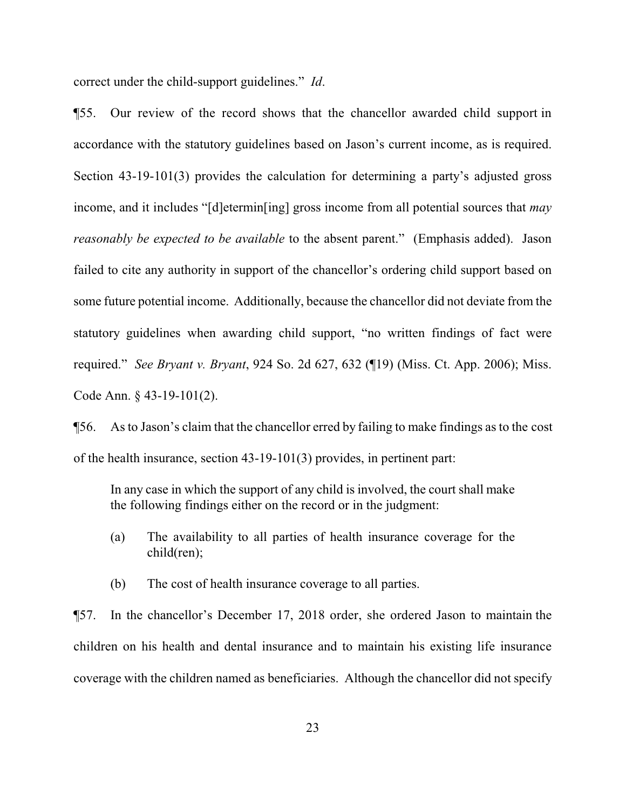correct under the child-support guidelines." *Id*.

¶55. Our review of the record shows that the chancellor awarded child support in accordance with the statutory guidelines based on Jason's current income, as is required. Section 43-19-101(3) provides the calculation for determining a party's adjusted gross income, and it includes "[d]etermin[ing] gross income from all potential sources that *may reasonably be expected to be available* to the absent parent." (Emphasis added). Jason failed to cite any authority in support of the chancellor's ordering child support based on some future potential income. Additionally, because the chancellor did not deviate from the statutory guidelines when awarding child support, "no written findings of fact were required." *See Bryant v. Bryant*, 924 So. 2d 627, 632 (¶19) (Miss. Ct. App. 2006); Miss. Code Ann. § 43-19-101(2).

¶56. As to Jason's claim that the chancellor erred by failing to make findings as to the cost of the health insurance, section 43-19-101(3) provides, in pertinent part:

In any case in which the support of any child is involved, the court shall make the following findings either on the record or in the judgment:

- (a) The availability to all parties of health insurance coverage for the child(ren);
- (b) The cost of health insurance coverage to all parties.

¶57. In the chancellor's December 17, 2018 order, she ordered Jason to maintain the children on his health and dental insurance and to maintain his existing life insurance coverage with the children named as beneficiaries. Although the chancellor did not specify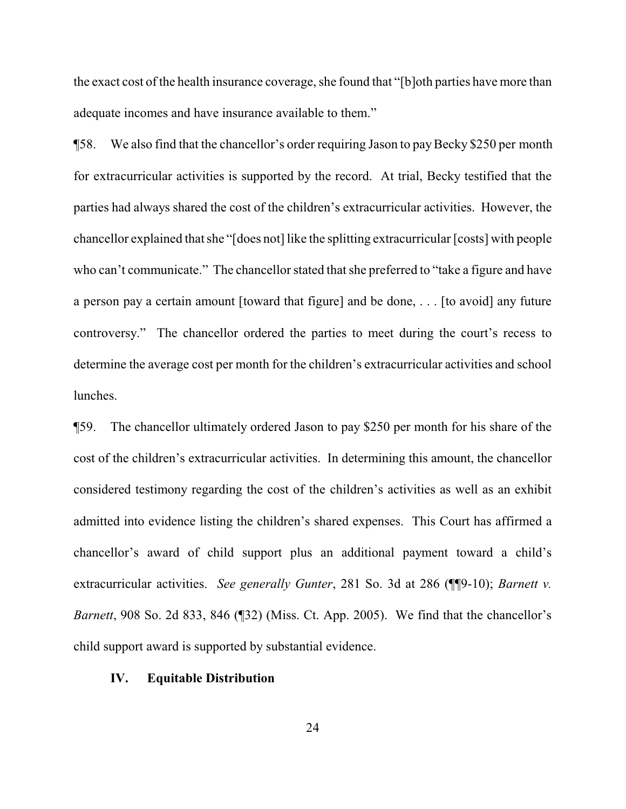the exact cost of the health insurance coverage, she found that "[b]oth parties have more than adequate incomes and have insurance available to them."

¶58. We also find that the chancellor's order requiring Jason to payBecky \$250 per month for extracurricular activities is supported by the record. At trial, Becky testified that the parties had always shared the cost of the children's extracurricular activities. However, the chancellor explained that she "[does not] like the splitting extracurricular [costs] with people who can't communicate." The chancellor stated that she preferred to "take a figure and have a person pay a certain amount [toward that figure] and be done, . . . [to avoid] any future controversy." The chancellor ordered the parties to meet during the court's recess to determine the average cost per month for the children's extracurricular activities and school lunches.

¶59. The chancellor ultimately ordered Jason to pay \$250 per month for his share of the cost of the children's extracurricular activities. In determining this amount, the chancellor considered testimony regarding the cost of the children's activities as well as an exhibit admitted into evidence listing the children's shared expenses. This Court has affirmed a chancellor's award of child support plus an additional payment toward a child's extracurricular activities. *See generally Gunter*, 281 So. 3d at 286 (¶¶9-10); *Barnett v. Barnett*, 908 So. 2d 833, 846 (¶32) (Miss. Ct. App. 2005). We find that the chancellor's child support award is supported by substantial evidence.

## **IV. Equitable Distribution**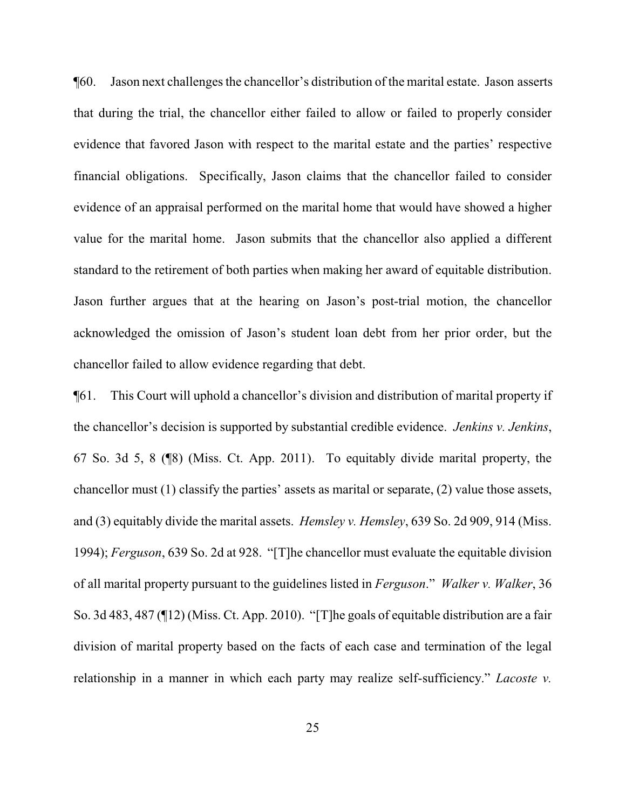¶60. Jason next challenges the chancellor's distribution of the marital estate. Jason asserts that during the trial, the chancellor either failed to allow or failed to properly consider evidence that favored Jason with respect to the marital estate and the parties' respective financial obligations. Specifically, Jason claims that the chancellor failed to consider evidence of an appraisal performed on the marital home that would have showed a higher value for the marital home. Jason submits that the chancellor also applied a different standard to the retirement of both parties when making her award of equitable distribution. Jason further argues that at the hearing on Jason's post-trial motion, the chancellor acknowledged the omission of Jason's student loan debt from her prior order, but the chancellor failed to allow evidence regarding that debt.

¶61. This Court will uphold a chancellor's division and distribution of marital property if the chancellor's decision is supported by substantial credible evidence. *Jenkins v. Jenkins*, 67 So. 3d 5, 8 (¶8) (Miss. Ct. App. 2011). To equitably divide marital property, the chancellor must (1) classify the parties' assets as marital or separate, (2) value those assets, and (3) equitably divide the marital assets. *Hemsley v. Hemsley*, 639 So. 2d 909, 914 (Miss. 1994); *Ferguson*, 639 So. 2d at 928. "[T]he chancellor must evaluate the equitable division of all marital property pursuant to the guidelines listed in *Ferguson*." *Walker v. Walker*, 36 So. 3d 483, 487 (¶12) (Miss. Ct. App. 2010). "[T]he goals of equitable distribution are a fair division of marital property based on the facts of each case and termination of the legal relationship in a manner in which each party may realize self-sufficiency." *Lacoste v.*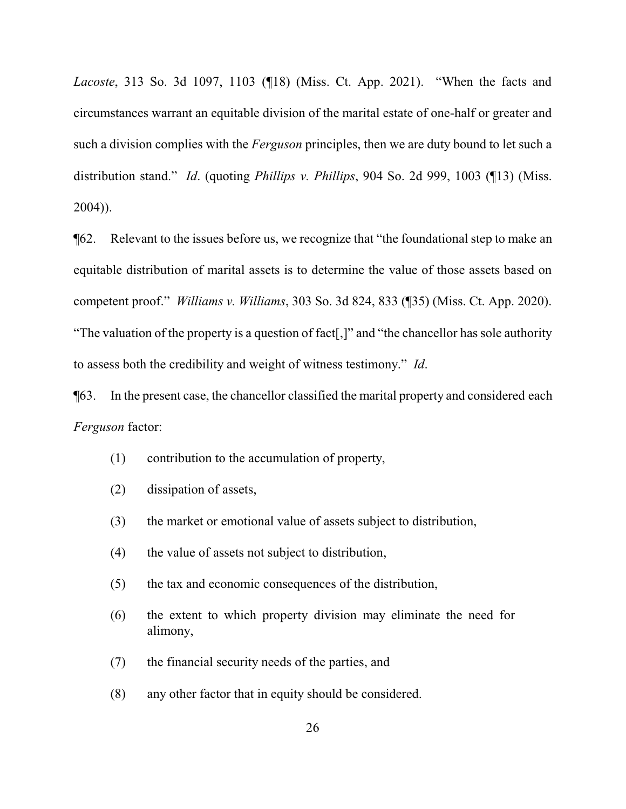*Lacoste*, 313 So. 3d 1097, 1103 (¶18) (Miss. Ct. App. 2021). "When the facts and circumstances warrant an equitable division of the marital estate of one-half or greater and such a division complies with the *Ferguson* principles, then we are duty bound to let such a distribution stand." *Id*. (quoting *Phillips v. Phillips*, 904 So. 2d 999, 1003 (¶13) (Miss. 2004)).

¶62. Relevant to the issues before us, we recognize that "the foundational step to make an equitable distribution of marital assets is to determine the value of those assets based on competent proof." *Williams v. Williams*, 303 So. 3d 824, 833 (¶35) (Miss. Ct. App. 2020). "The valuation of the property is a question of fact[,]" and "the chancellor has sole authority to assess both the credibility and weight of witness testimony." *Id*.

¶63. In the present case, the chancellor classified the marital property and considered each *Ferguson* factor:

- (1) contribution to the accumulation of property,
- (2) dissipation of assets,
- (3) the market or emotional value of assets subject to distribution,
- (4) the value of assets not subject to distribution,
- (5) the tax and economic consequences of the distribution,
- (6) the extent to which property division may eliminate the need for alimony,
- (7) the financial security needs of the parties, and
- (8) any other factor that in equity should be considered.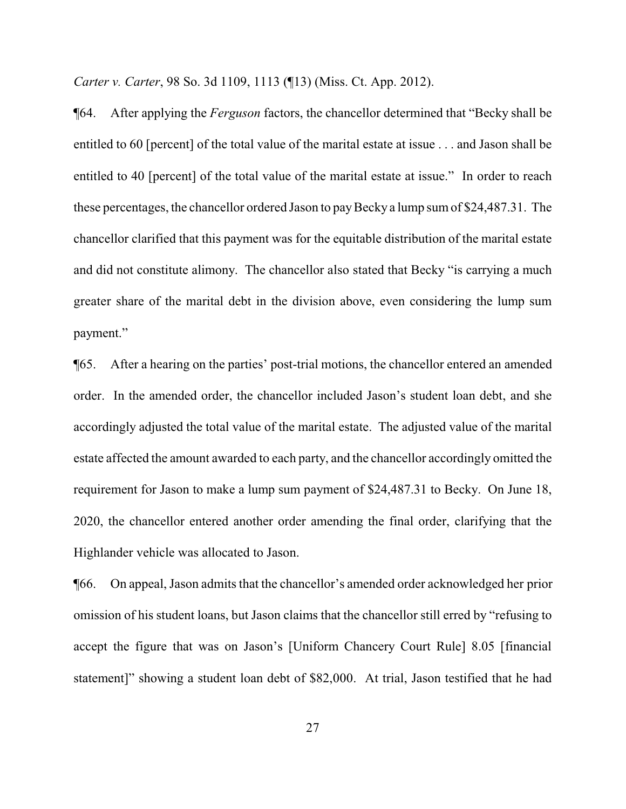*Carter v. Carter*, 98 So. 3d 1109, 1113 (¶13) (Miss. Ct. App. 2012).

¶64. After applying the *Ferguson* factors, the chancellor determined that "Becky shall be entitled to 60 [percent] of the total value of the marital estate at issue . . . and Jason shall be entitled to 40 [percent] of the total value of the marital estate at issue." In order to reach these percentages, the chancellor ordered Jason to payBecky a lump sumof \$24,487.31. The chancellor clarified that this payment was for the equitable distribution of the marital estate and did not constitute alimony. The chancellor also stated that Becky "is carrying a much greater share of the marital debt in the division above, even considering the lump sum payment."

¶65. After a hearing on the parties' post-trial motions, the chancellor entered an amended order. In the amended order, the chancellor included Jason's student loan debt, and she accordingly adjusted the total value of the marital estate. The adjusted value of the marital estate affected the amount awarded to each party, and the chancellor accordingly omitted the requirement for Jason to make a lump sum payment of \$24,487.31 to Becky. On June 18, 2020, the chancellor entered another order amending the final order, clarifying that the Highlander vehicle was allocated to Jason.

¶66. On appeal, Jason admits that the chancellor's amended order acknowledged her prior omission of his student loans, but Jason claims that the chancellor still erred by "refusing to accept the figure that was on Jason's [Uniform Chancery Court Rule] 8.05 [financial statement]" showing a student loan debt of \$82,000. At trial, Jason testified that he had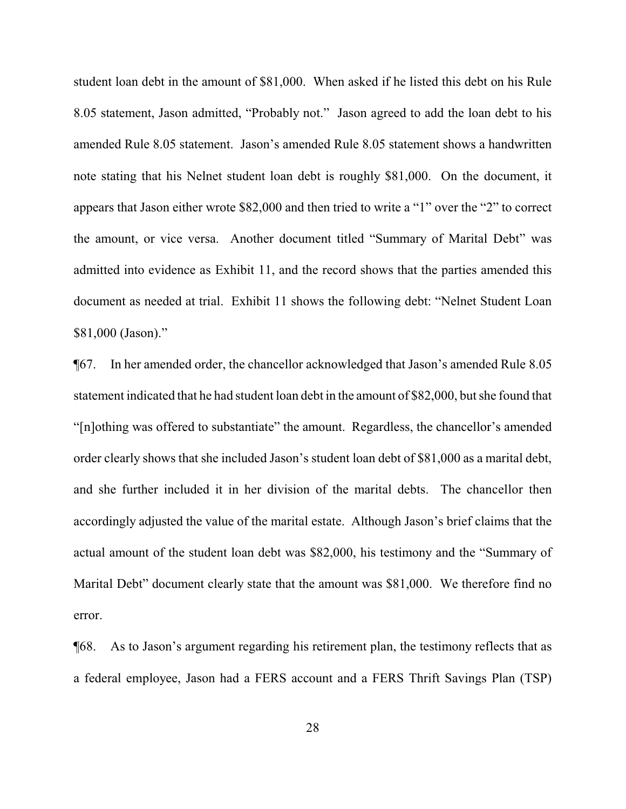student loan debt in the amount of \$81,000. When asked if he listed this debt on his Rule 8.05 statement, Jason admitted, "Probably not." Jason agreed to add the loan debt to his amended Rule 8.05 statement. Jason's amended Rule 8.05 statement shows a handwritten note stating that his Nelnet student loan debt is roughly \$81,000. On the document, it appears that Jason either wrote \$82,000 and then tried to write a "1" over the "2" to correct the amount, or vice versa. Another document titled "Summary of Marital Debt" was admitted into evidence as Exhibit 11, and the record shows that the parties amended this document as needed at trial. Exhibit 11 shows the following debt: "Nelnet Student Loan \$81,000 (Jason)."

¶67. In her amended order, the chancellor acknowledged that Jason's amended Rule 8.05 statement indicated that he had student loan debt in the amount of \$82,000, but she found that "[n]othing was offered to substantiate" the amount. Regardless, the chancellor's amended order clearly shows that she included Jason's student loan debt of \$81,000 as a marital debt, and she further included it in her division of the marital debts. The chancellor then accordingly adjusted the value of the marital estate. Although Jason's brief claims that the actual amount of the student loan debt was \$82,000, his testimony and the "Summary of Marital Debt" document clearly state that the amount was \$81,000. We therefore find no error.

¶68. As to Jason's argument regarding his retirement plan, the testimony reflects that as a federal employee, Jason had a FERS account and a FERS Thrift Savings Plan (TSP)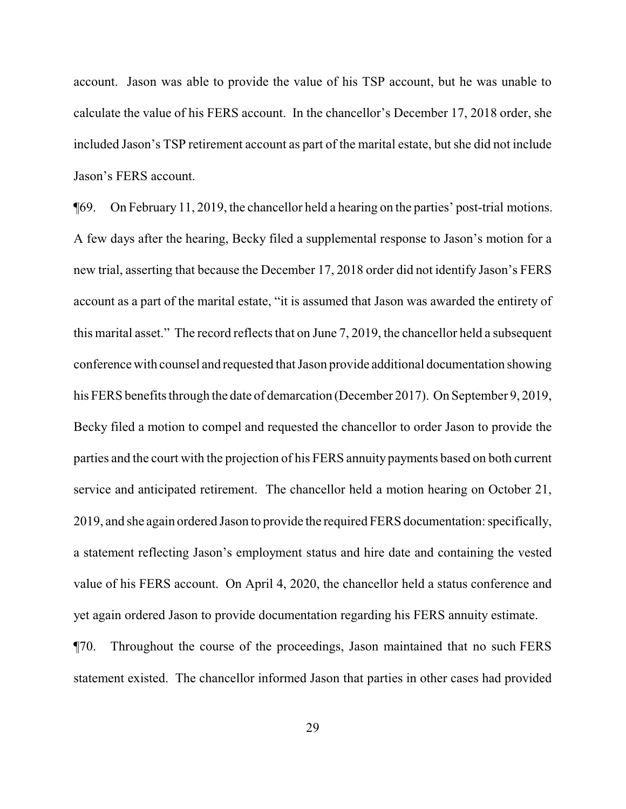account. Jason was able to provide the value of his TSP account, but he was unable to calculate the value of his FERS account. In the chancellor's December 17, 2018 order, she included Jason's TSP retirement account as part of the marital estate, but she did not include Jason's FERS account.

¶69. On February 11, 2019, the chancellor held a hearing on the parties' post-trial motions. A few days after the hearing, Becky filed a supplemental response to Jason's motion for a new trial, asserting that because the December 17, 2018 order did not identify Jason's FERS account as a part of the marital estate, "it is assumed that Jason was awarded the entirety of this marital asset." The record reflects that on June 7, 2019, the chancellor held a subsequent conference with counsel and requested that Jason provide additional documentation showing his FERS benefits through the date of demarcation (December 2017). On September 9, 2019, Becky filed a motion to compel and requested the chancellor to order Jason to provide the parties and the court with the projection of his FERS annuity payments based on both current service and anticipated retirement. The chancellor held a motion hearing on October 21, 2019, and she again ordered Jason to provide the required FERS documentation: specifically, a statement reflecting Jason's employment status and hire date and containing the vested value of his FERS account. On April 4, 2020, the chancellor held a status conference and yet again ordered Jason to provide documentation regarding his FERS annuity estimate.

¶70. Throughout the course of the proceedings, Jason maintained that no such FERS statement existed. The chancellor informed Jason that parties in other cases had provided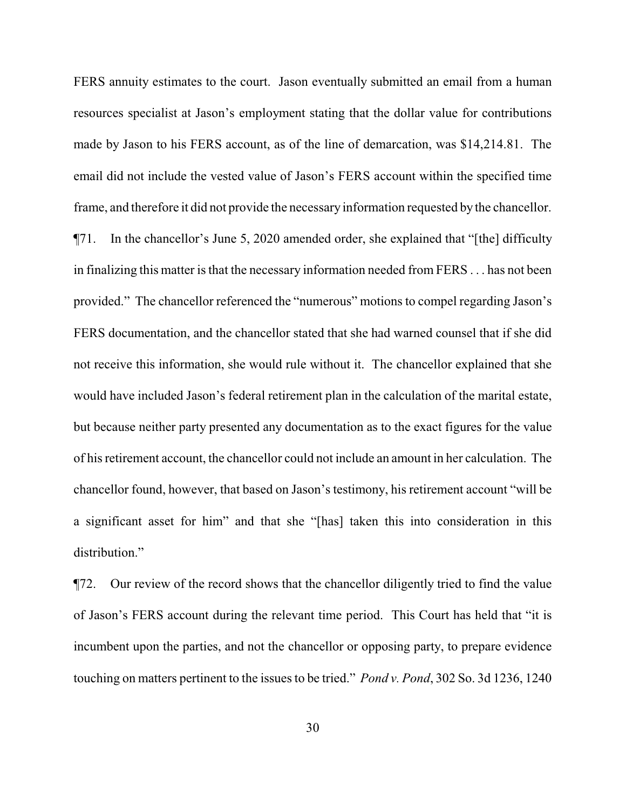FERS annuity estimates to the court. Jason eventually submitted an email from a human resources specialist at Jason's employment stating that the dollar value for contributions made by Jason to his FERS account, as of the line of demarcation, was \$14,214.81. The email did not include the vested value of Jason's FERS account within the specified time frame, and therefore it did not provide the necessary information requested by the chancellor. ¶71. In the chancellor's June 5, 2020 amended order, she explained that "[the] difficulty in finalizing this matter is that the necessary information needed from FERS . . . has not been provided." The chancellor referenced the "numerous" motions to compel regarding Jason's FERS documentation, and the chancellor stated that she had warned counsel that if she did not receive this information, she would rule without it. The chancellor explained that she would have included Jason's federal retirement plan in the calculation of the marital estate, but because neither party presented any documentation as to the exact figures for the value of his retirement account, the chancellor could not include an amount in her calculation. The chancellor found, however, that based on Jason's testimony, his retirement account "will be a significant asset for him" and that she "[has] taken this into consideration in this distribution."

¶72. Our review of the record shows that the chancellor diligently tried to find the value of Jason's FERS account during the relevant time period. This Court has held that "it is incumbent upon the parties, and not the chancellor or opposing party, to prepare evidence touching on matters pertinent to the issues to be tried." *Pond v. Pond*, 302 So. 3d 1236, 1240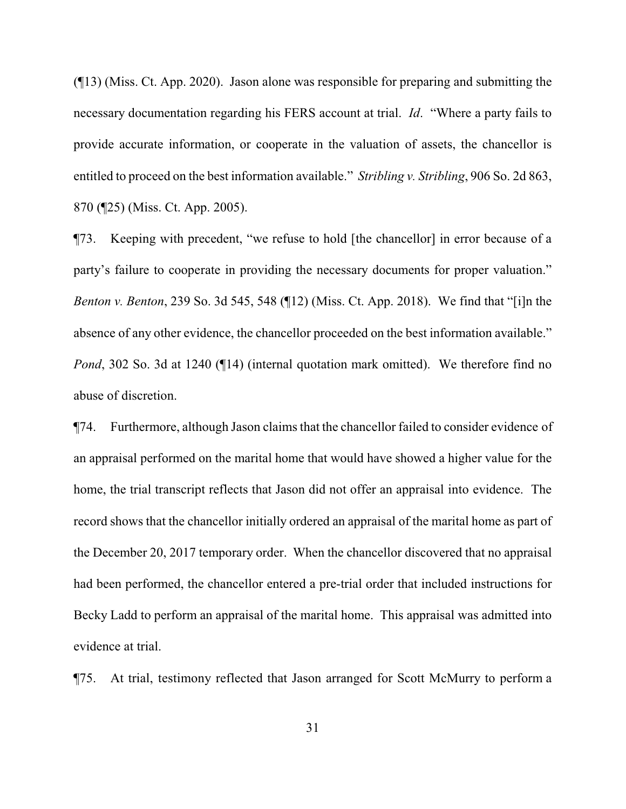(¶13) (Miss. Ct. App. 2020). Jason alone was responsible for preparing and submitting the necessary documentation regarding his FERS account at trial. *Id*. "Where a party fails to provide accurate information, or cooperate in the valuation of assets, the chancellor is entitled to proceed on the best information available." *Stribling v. Stribling*, 906 So. 2d 863, 870 (¶25) (Miss. Ct. App. 2005).

¶73. Keeping with precedent, "we refuse to hold [the chancellor] in error because of a party's failure to cooperate in providing the necessary documents for proper valuation." *Benton v. Benton*, 239 So. 3d 545, 548 (¶12) (Miss. Ct. App. 2018). We find that "[i]n the absence of any other evidence, the chancellor proceeded on the best information available." *Pond*, 302 So. 3d at 1240 ( $\P$ 14) (internal quotation mark omitted). We therefore find no abuse of discretion.

¶74. Furthermore, although Jason claims that the chancellor failed to consider evidence of an appraisal performed on the marital home that would have showed a higher value for the home, the trial transcript reflects that Jason did not offer an appraisal into evidence. The record shows that the chancellor initially ordered an appraisal of the marital home as part of the December 20, 2017 temporary order. When the chancellor discovered that no appraisal had been performed, the chancellor entered a pre-trial order that included instructions for Becky Ladd to perform an appraisal of the marital home. This appraisal was admitted into evidence at trial.

¶75. At trial, testimony reflected that Jason arranged for Scott McMurry to perform a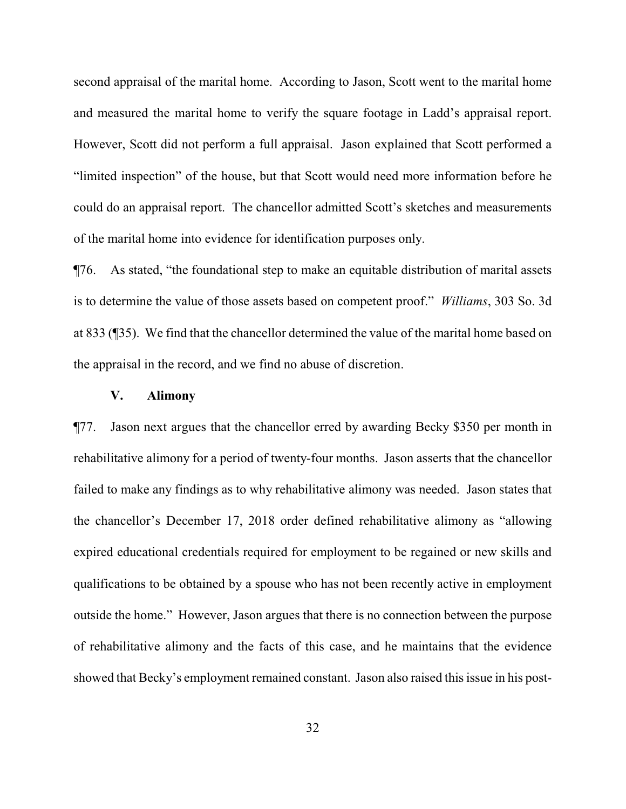second appraisal of the marital home. According to Jason, Scott went to the marital home and measured the marital home to verify the square footage in Ladd's appraisal report. However, Scott did not perform a full appraisal. Jason explained that Scott performed a "limited inspection" of the house, but that Scott would need more information before he could do an appraisal report. The chancellor admitted Scott's sketches and measurements of the marital home into evidence for identification purposes only.

¶76. As stated, "the foundational step to make an equitable distribution of marital assets is to determine the value of those assets based on competent proof." *Williams*, 303 So. 3d at 833 (¶35). We find that the chancellor determined the value of the marital home based on the appraisal in the record, and we find no abuse of discretion.

## **V. Alimony**

¶77. Jason next argues that the chancellor erred by awarding Becky \$350 per month in rehabilitative alimony for a period of twenty-four months. Jason asserts that the chancellor failed to make any findings as to why rehabilitative alimony was needed. Jason states that the chancellor's December 17, 2018 order defined rehabilitative alimony as "allowing expired educational credentials required for employment to be regained or new skills and qualifications to be obtained by a spouse who has not been recently active in employment outside the home." However, Jason argues that there is no connection between the purpose of rehabilitative alimony and the facts of this case, and he maintains that the evidence showed that Becky's employment remained constant. Jason also raised this issue in his post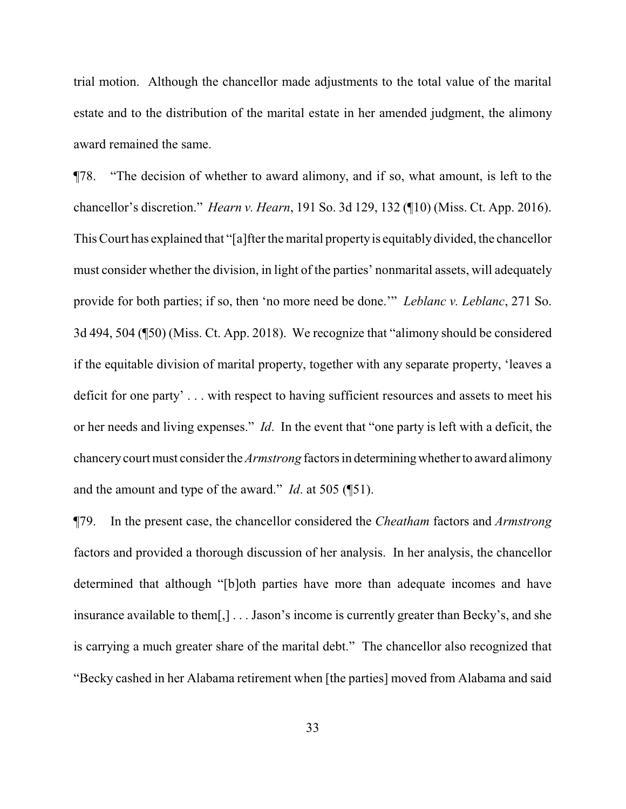trial motion. Although the chancellor made adjustments to the total value of the marital estate and to the distribution of the marital estate in her amended judgment, the alimony award remained the same.

¶78. "The decision of whether to award alimony, and if so, what amount, is left to the chancellor's discretion." *Hearn v. Hearn*, 191 So. 3d 129, 132 (¶10) (Miss. Ct. App. 2016). This Court has explained that "[a]fter the marital propertyis equitablydivided, the chancellor must consider whether the division, in light of the parties' nonmarital assets, will adequately provide for both parties; if so, then 'no more need be done.'" *Leblanc v. Leblanc*, 271 So. 3d 494, 504 (¶50) (Miss. Ct. App. 2018). We recognize that "alimony should be considered if the equitable division of marital property, together with any separate property, 'leaves a deficit for one party' . . . with respect to having sufficient resources and assets to meet his or her needs and living expenses." *Id*. In the event that "one party is left with a deficit, the chancerycourt must consider the *Armstrong* factors in determiningwhether to award alimony and the amount and type of the award." *Id*. at 505 (¶51).

¶79. In the present case, the chancellor considered the *Cheatham* factors and *Armstrong* factors and provided a thorough discussion of her analysis. In her analysis, the chancellor determined that although "[b]oth parties have more than adequate incomes and have insurance available to them[,] . . . Jason's income is currently greater than Becky's, and she is carrying a much greater share of the marital debt." The chancellor also recognized that "Becky cashed in her Alabama retirement when [the parties] moved from Alabama and said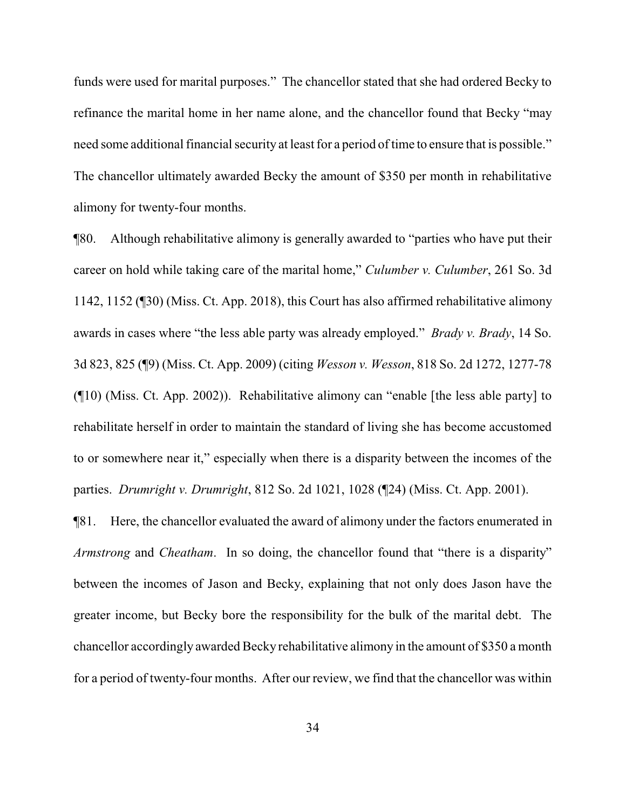funds were used for marital purposes." The chancellor stated that she had ordered Becky to refinance the marital home in her name alone, and the chancellor found that Becky "may need some additional financial security at least for a period of time to ensure that is possible." The chancellor ultimately awarded Becky the amount of \$350 per month in rehabilitative alimony for twenty-four months.

¶80. Although rehabilitative alimony is generally awarded to "parties who have put their career on hold while taking care of the marital home," *Culumber v. Culumber*, 261 So. 3d 1142, 1152 (¶30) (Miss. Ct. App. 2018), this Court has also affirmed rehabilitative alimony awards in cases where "the less able party was already employed." *Brady v. Brady*, 14 So. 3d 823, 825 (¶9) (Miss. Ct. App. 2009) (citing *Wesson v. Wesson*, 818 So. 2d 1272, 1277-78 (¶10) (Miss. Ct. App. 2002)). Rehabilitative alimony can "enable [the less able party] to rehabilitate herself in order to maintain the standard of living she has become accustomed to or somewhere near it," especially when there is a disparity between the incomes of the parties. *Drumright v. Drumright*, 812 So. 2d 1021, 1028 (¶24) (Miss. Ct. App. 2001).

¶81. Here, the chancellor evaluated the award of alimony under the factors enumerated in *Armstrong* and *Cheatham*. In so doing, the chancellor found that "there is a disparity" between the incomes of Jason and Becky, explaining that not only does Jason have the greater income, but Becky bore the responsibility for the bulk of the marital debt. The chancellor accordingly awarded Becky rehabilitative alimony in the amount of \$350 a month for a period of twenty-four months. After our review, we find that the chancellor was within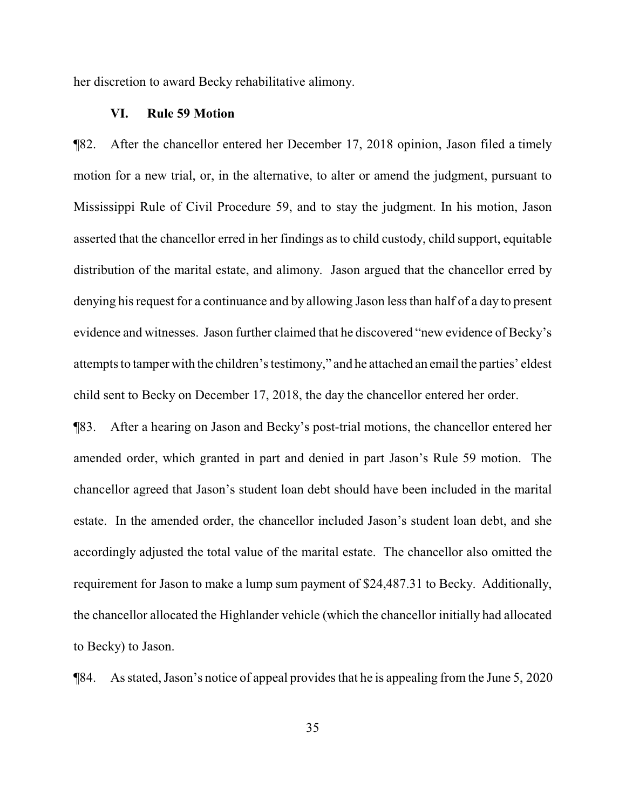her discretion to award Becky rehabilitative alimony.

## **VI. Rule 59 Motion**

¶82. After the chancellor entered her December 17, 2018 opinion, Jason filed a timely motion for a new trial, or, in the alternative, to alter or amend the judgment, pursuant to Mississippi Rule of Civil Procedure 59, and to stay the judgment. In his motion, Jason asserted that the chancellor erred in her findings as to child custody, child support, equitable distribution of the marital estate, and alimony. Jason argued that the chancellor erred by denying his request for a continuance and by allowing Jason less than half of a day to present evidence and witnesses. Jason further claimed that he discovered "new evidence of Becky's attempts to tamper with the children's testimony," and he attached an email the parties' eldest child sent to Becky on December 17, 2018, the day the chancellor entered her order.

¶83. After a hearing on Jason and Becky's post-trial motions, the chancellor entered her amended order, which granted in part and denied in part Jason's Rule 59 motion. The chancellor agreed that Jason's student loan debt should have been included in the marital estate. In the amended order, the chancellor included Jason's student loan debt, and she accordingly adjusted the total value of the marital estate. The chancellor also omitted the requirement for Jason to make a lump sum payment of \$24,487.31 to Becky. Additionally, the chancellor allocated the Highlander vehicle (which the chancellor initially had allocated to Becky) to Jason.

¶84. As stated, Jason's notice of appeal provides that he is appealing from the June 5, 2020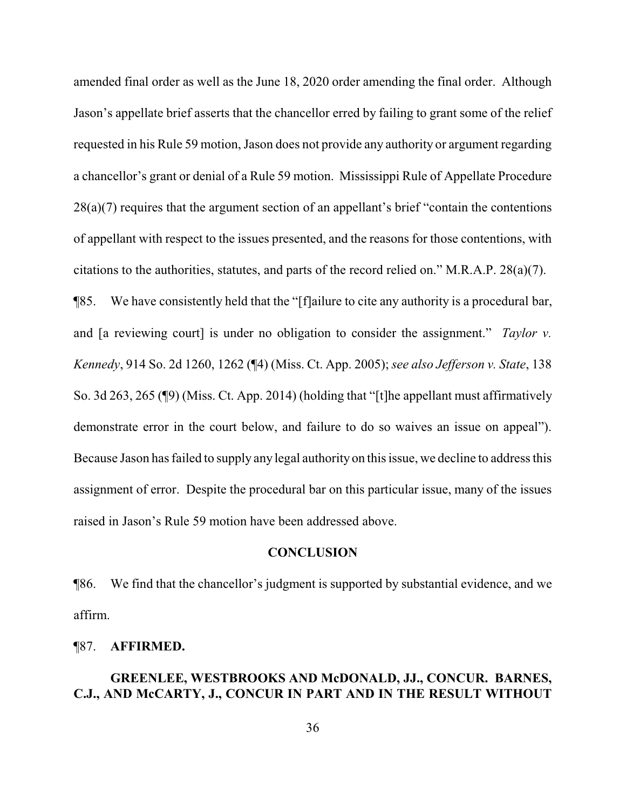amended final order as well as the June 18, 2020 order amending the final order. Although Jason's appellate brief asserts that the chancellor erred by failing to grant some of the relief requested in his Rule 59 motion, Jason does not provide any authority or argument regarding a chancellor's grant or denial of a Rule 59 motion. Mississippi Rule of Appellate Procedure 28(a)(7) requires that the argument section of an appellant's brief "contain the contentions of appellant with respect to the issues presented, and the reasons for those contentions, with citations to the authorities, statutes, and parts of the record relied on." M.R.A.P. 28(a)(7).

¶85. We have consistently held that the "[f]ailure to cite any authority is a procedural bar, and [a reviewing court] is under no obligation to consider the assignment." *Taylor v. Kennedy*, 914 So. 2d 1260, 1262 (¶4) (Miss. Ct. App. 2005); *see also Jefferson v. State*, 138 So. 3d 263, 265 (¶9) (Miss. Ct. App. 2014) (holding that "[t]he appellant must affirmatively demonstrate error in the court below, and failure to do so waives an issue on appeal"). Because Jason has failed to supply any legal authority on this issue, we decline to address this assignment of error. Despite the procedural bar on this particular issue, many of the issues raised in Jason's Rule 59 motion have been addressed above.

## **CONCLUSION**

¶86. We find that the chancellor's judgment is supported by substantial evidence, and we affirm.

### ¶87. **AFFIRMED.**

# **GREENLEE, WESTBROOKS AND McDONALD, JJ., CONCUR. BARNES, C.J., AND McCARTY, J., CONCUR IN PART AND IN THE RESULT WITHOUT**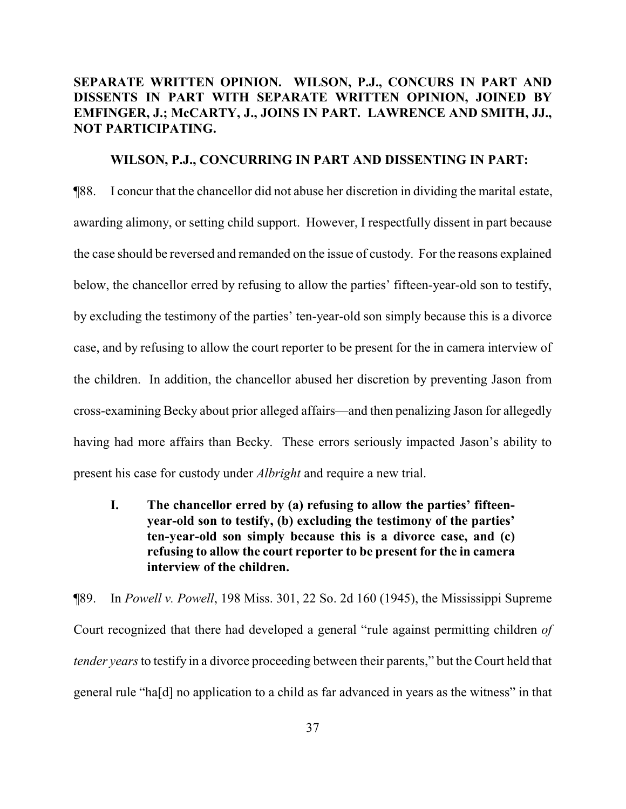# **SEPARATE WRITTEN OPINION. WILSON, P.J., CONCURS IN PART AND DISSENTS IN PART WITH SEPARATE WRITTEN OPINION, JOINED BY EMFINGER, J.; McCARTY, J., JOINS IN PART. LAWRENCE AND SMITH, JJ., NOT PARTICIPATING.**

## **WILSON, P.J., CONCURRING IN PART AND DISSENTING IN PART:**

¶88. I concur that the chancellor did not abuse her discretion in dividing the marital estate, awarding alimony, or setting child support. However, I respectfully dissent in part because the case should be reversed and remanded on the issue of custody. For the reasons explained below, the chancellor erred by refusing to allow the parties' fifteen-year-old son to testify, by excluding the testimony of the parties' ten-year-old son simply because this is a divorce case, and by refusing to allow the court reporter to be present for the in camera interview of the children. In addition, the chancellor abused her discretion by preventing Jason from cross-examining Becky about prior alleged affairs—and then penalizing Jason for allegedly having had more affairs than Becky. These errors seriously impacted Jason's ability to present his case for custody under *Albright* and require a new trial.

**I. The chancellor erred by (a) refusing to allow the parties' fifteenyear-old son to testify, (b) excluding the testimony of the parties' ten-year-old son simply because this is a divorce case, and (c) refusing to allow the court reporter to be present for the in camera interview of the children.**

¶89. In *Powell v. Powell*, 198 Miss. 301, 22 So. 2d 160 (1945), the Mississippi Supreme Court recognized that there had developed a general "rule against permitting children *of tender years* to testify in a divorce proceeding between their parents," but the Court held that general rule "ha[d] no application to a child as far advanced in years as the witness" in that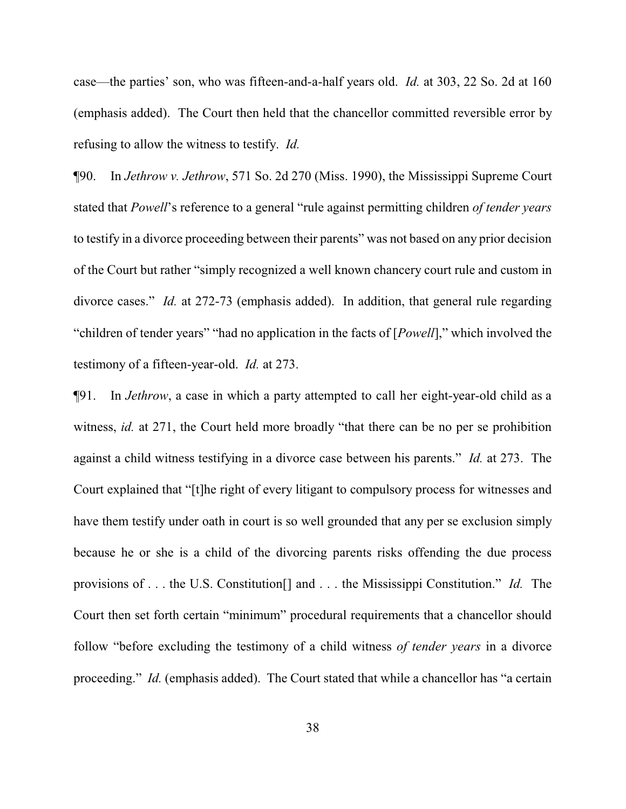case—the parties' son, who was fifteen-and-a-half years old. *Id.* at 303, 22 So. 2d at 160 (emphasis added). The Court then held that the chancellor committed reversible error by refusing to allow the witness to testify. *Id.*

¶90. In *Jethrow v. Jethrow*, 571 So. 2d 270 (Miss. 1990), the Mississippi Supreme Court stated that *Powell*'s reference to a general "rule against permitting children *of tender years* to testify in a divorce proceeding between their parents" was not based on any prior decision of the Court but rather "simply recognized a well known chancery court rule and custom in divorce cases." *Id.* at 272-73 (emphasis added). In addition, that general rule regarding "children of tender years" "had no application in the facts of [*Powell*]," which involved the testimony of a fifteen-year-old. *Id.* at 273.

¶91. In *Jethrow*, a case in which a party attempted to call her eight-year-old child as a witness, *id.* at 271, the Court held more broadly "that there can be no per se prohibition against a child witness testifying in a divorce case between his parents." *Id.* at 273. The Court explained that "[t]he right of every litigant to compulsory process for witnesses and have them testify under oath in court is so well grounded that any per se exclusion simply because he or she is a child of the divorcing parents risks offending the due process provisions of . . . the U.S. Constitution[] and . . . the Mississippi Constitution." *Id.* The Court then set forth certain "minimum" procedural requirements that a chancellor should follow "before excluding the testimony of a child witness *of tender years* in a divorce proceeding." *Id.* (emphasis added). The Court stated that while a chancellor has "a certain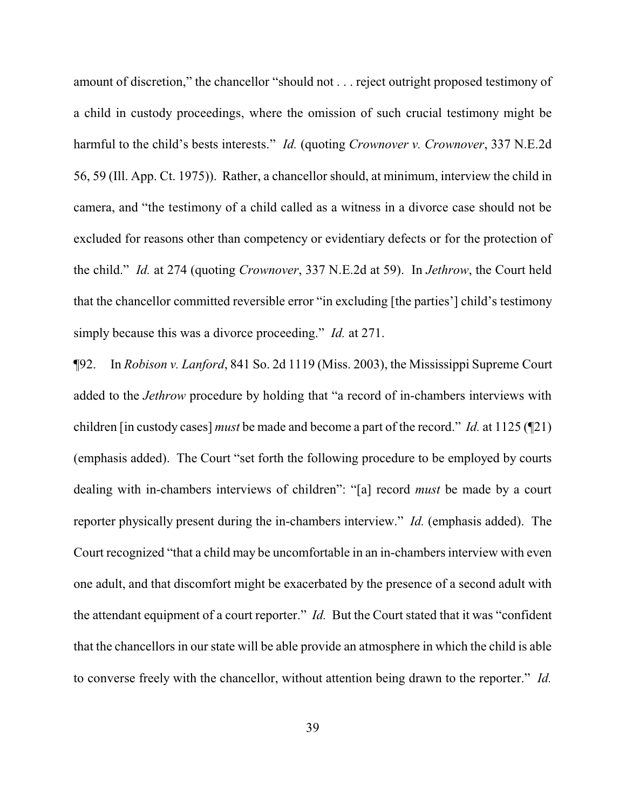amount of discretion," the chancellor "should not . . . reject outright proposed testimony of a child in custody proceedings, where the omission of such crucial testimony might be harmful to the child's bests interests." *Id.* (quoting *Crownover v. Crownover*, 337 N.E.2d 56, 59 (Ill. App. Ct. 1975)). Rather, a chancellor should, at minimum, interview the child in camera, and "the testimony of a child called as a witness in a divorce case should not be excluded for reasons other than competency or evidentiary defects or for the protection of the child." *Id.* at 274 (quoting *Crownover*, 337 N.E.2d at 59). In *Jethrow*, the Court held that the chancellor committed reversible error "in excluding [the parties'] child's testimony simply because this was a divorce proceeding." *Id.* at 271.

¶92. In *Robison v. Lanford*, 841 So. 2d 1119 (Miss. 2003), the Mississippi Supreme Court added to the *Jethrow* procedure by holding that "a record of in-chambers interviews with children [in custody cases] *must* be made and become a part of the record." *Id.* at 1125 (¶21) (emphasis added). The Court "set forth the following procedure to be employed by courts dealing with in-chambers interviews of children": "[a] record *must* be made by a court reporter physically present during the in-chambers interview." *Id.* (emphasis added). The Court recognized "that a child may be uncomfortable in an in-chambers interview with even one adult, and that discomfort might be exacerbated by the presence of a second adult with the attendant equipment of a court reporter." *Id.* But the Court stated that it was "confident that the chancellors in our state will be able provide an atmosphere in which the child is able to converse freely with the chancellor, without attention being drawn to the reporter." *Id.*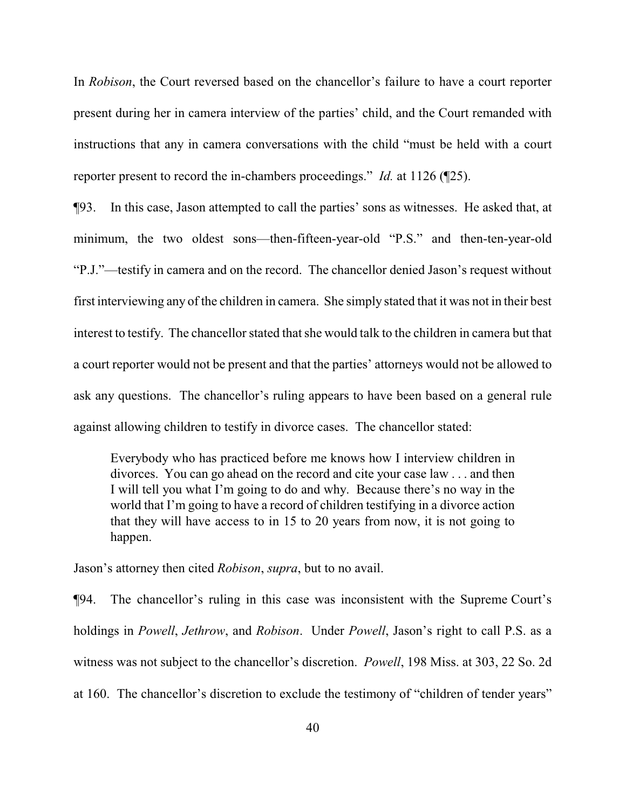In *Robison*, the Court reversed based on the chancellor's failure to have a court reporter present during her in camera interview of the parties' child, and the Court remanded with instructions that any in camera conversations with the child "must be held with a court reporter present to record the in-chambers proceedings." *Id.* at 1126 (¶25).

¶93. In this case, Jason attempted to call the parties' sons as witnesses. He asked that, at minimum, the two oldest sons—then-fifteen-year-old "P.S." and then-ten-year-old "P.J."—testify in camera and on the record. The chancellor denied Jason's request without first interviewing any of the children in camera. She simply stated that it was not in their best interest to testify. The chancellor stated that she would talk to the children in camera but that a court reporter would not be present and that the parties' attorneys would not be allowed to ask any questions. The chancellor's ruling appears to have been based on a general rule against allowing children to testify in divorce cases. The chancellor stated:

Everybody who has practiced before me knows how I interview children in divorces. You can go ahead on the record and cite your case law . . . and then I will tell you what I'm going to do and why. Because there's no way in the world that I'm going to have a record of children testifying in a divorce action that they will have access to in 15 to 20 years from now, it is not going to happen.

Jason's attorney then cited *Robison*, *supra*, but to no avail.

¶94. The chancellor's ruling in this case was inconsistent with the Supreme Court's holdings in *Powell*, *Jethrow*, and *Robison*. Under *Powell*, Jason's right to call P.S. as a witness was not subject to the chancellor's discretion. *Powell*, 198 Miss. at 303, 22 So. 2d at 160. The chancellor's discretion to exclude the testimony of "children of tender years"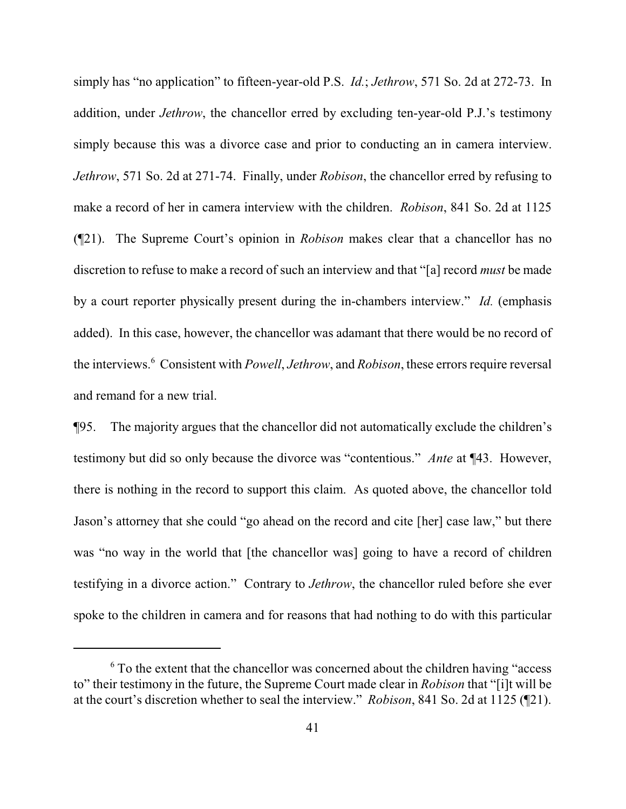simply has "no application" to fifteen-year-old P.S. *Id.*; *Jethrow*, 571 So. 2d at 272-73. In addition, under *Jethrow*, the chancellor erred by excluding ten-year-old P.J.'s testimony simply because this was a divorce case and prior to conducting an in camera interview. *Jethrow*, 571 So. 2d at 271-74. Finally, under *Robison*, the chancellor erred by refusing to make a record of her in camera interview with the children. *Robison*, 841 So. 2d at 1125 (¶21). The Supreme Court's opinion in *Robison* makes clear that a chancellor has no discretion to refuse to make a record of such an interview and that "[a] record *must* be made by a court reporter physically present during the in-chambers interview." *Id.* (emphasis added). In this case, however, the chancellor was adamant that there would be no record of the interviews.<sup>6</sup> Consistent with *Powell*, *Jethrow*, and *Robison*, these errors require reversal and remand for a new trial.

¶95. The majority argues that the chancellor did not automatically exclude the children's testimony but did so only because the divorce was "contentious." *Ante* at ¶43. However, there is nothing in the record to support this claim. As quoted above, the chancellor told Jason's attorney that she could "go ahead on the record and cite [her] case law," but there was "no way in the world that [the chancellor was] going to have a record of children testifying in a divorce action." Contrary to *Jethrow*, the chancellor ruled before she ever spoke to the children in camera and for reasons that had nothing to do with this particular

<sup>6</sup> To the extent that the chancellor was concerned about the children having "access to" their testimony in the future, the Supreme Court made clear in *Robison* that "[i]t will be at the court's discretion whether to seal the interview." *Robison*, 841 So. 2d at 1125 (¶21).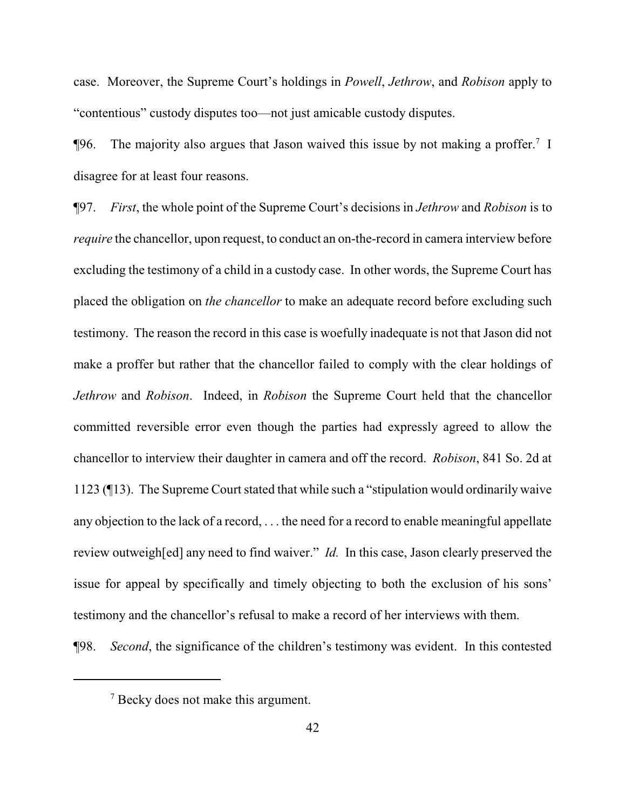case. Moreover, the Supreme Court's holdings in *Powell*, *Jethrow*, and *Robison* apply to "contentious" custody disputes too—not just amicable custody disputes.

 $\P$ 96. The majority also argues that Jason waived this issue by not making a proffer.<sup>7</sup> I disagree for at least four reasons.

¶97. *First*, the whole point of the Supreme Court's decisions in *Jethrow* and *Robison* is to *require* the chancellor, upon request, to conduct an on-the-record in camera interview before excluding the testimony of a child in a custody case. In other words, the Supreme Court has placed the obligation on *the chancellor* to make an adequate record before excluding such testimony. The reason the record in this case is woefully inadequate is not that Jason did not make a proffer but rather that the chancellor failed to comply with the clear holdings of *Jethrow* and *Robison*. Indeed, in *Robison* the Supreme Court held that the chancellor committed reversible error even though the parties had expressly agreed to allow the chancellor to interview their daughter in camera and off the record. *Robison*, 841 So. 2d at 1123 (¶13). The Supreme Court stated that while such a "stipulation would ordinarily waive any objection to the lack of a record, . . . the need for a record to enable meaningful appellate review outweigh[ed] any need to find waiver." *Id.* In this case, Jason clearly preserved the issue for appeal by specifically and timely objecting to both the exclusion of his sons' testimony and the chancellor's refusal to make a record of her interviews with them.

¶98. *Second*, the significance of the children's testimony was evident. In this contested

<sup>&</sup>lt;sup>7</sup> Becky does not make this argument.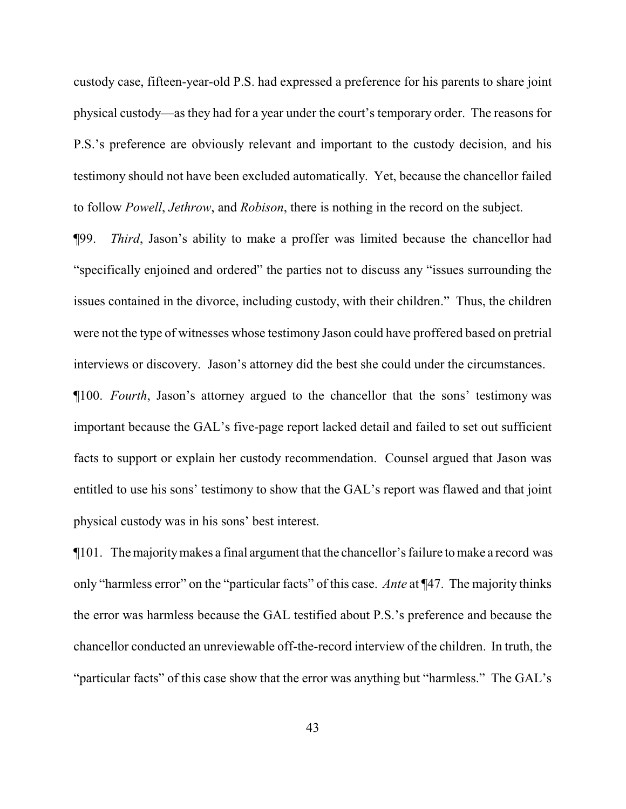custody case, fifteen-year-old P.S. had expressed a preference for his parents to share joint physical custody—as they had for a year under the court's temporary order. The reasons for P.S.'s preference are obviously relevant and important to the custody decision, and his testimony should not have been excluded automatically. Yet, because the chancellor failed to follow *Powell*, *Jethrow*, and *Robison*, there is nothing in the record on the subject.

¶99. *Third*, Jason's ability to make a proffer was limited because the chancellor had "specifically enjoined and ordered" the parties not to discuss any "issues surrounding the issues contained in the divorce, including custody, with their children." Thus, the children were not the type of witnesses whose testimony Jason could have proffered based on pretrial interviews or discovery. Jason's attorney did the best she could under the circumstances.

¶100. *Fourth*, Jason's attorney argued to the chancellor that the sons' testimony was important because the GAL's five-page report lacked detail and failed to set out sufficient facts to support or explain her custody recommendation. Counsel argued that Jason was entitled to use his sons' testimony to show that the GAL's report was flawed and that joint physical custody was in his sons' best interest.

¶101. The majoritymakes a final argument that the chancellor's failure to make a record was only "harmless error" on the "particular facts" of this case. *Ante* at ¶47. The majority thinks the error was harmless because the GAL testified about P.S.'s preference and because the chancellor conducted an unreviewable off-the-record interview of the children. In truth, the "particular facts" of this case show that the error was anything but "harmless." The GAL's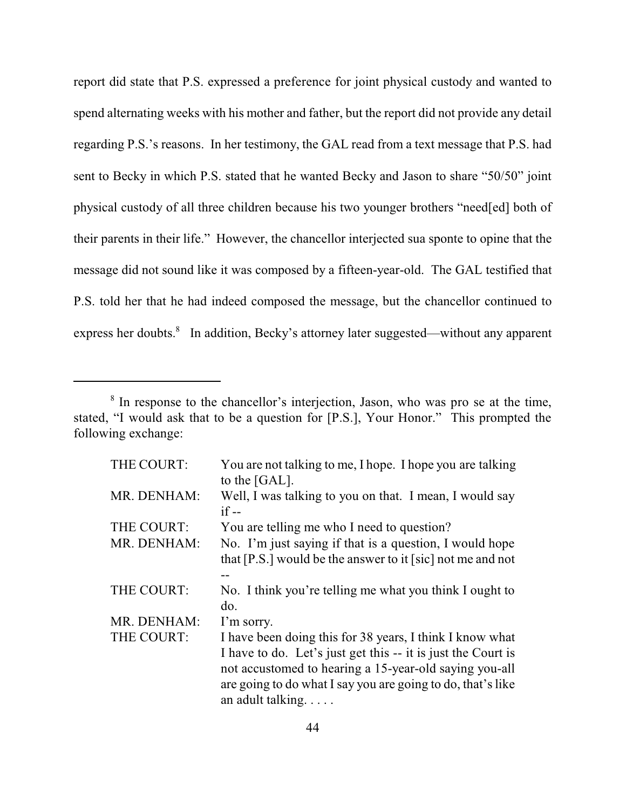report did state that P.S. expressed a preference for joint physical custody and wanted to spend alternating weeks with his mother and father, but the report did not provide any detail regarding P.S.'s reasons. In her testimony, the GAL read from a text message that P.S. had sent to Becky in which P.S. stated that he wanted Becky and Jason to share "50/50" joint physical custody of all three children because his two younger brothers "need[ed] both of their parents in their life." However, the chancellor interjected sua sponte to opine that the message did not sound like it was composed by a fifteen-year-old. The GAL testified that P.S. told her that he had indeed composed the message, but the chancellor continued to express her doubts.<sup>8</sup> In addition, Becky's attorney later suggested—without any apparent

<sup>&</sup>lt;sup>8</sup> In response to the chancellor's interjection, Jason, who was pro se at the time, stated, "I would ask that to be a question for [P.S.], Your Honor." This prompted the following exchange:

| THE COURT:  | You are not talking to me, I hope. I hope you are talking<br>to the [GAL].                                                                                                                                                                                             |
|-------------|------------------------------------------------------------------------------------------------------------------------------------------------------------------------------------------------------------------------------------------------------------------------|
| MR. DENHAM: | Well, I was talking to you on that. I mean, I would say<br>$if --$                                                                                                                                                                                                     |
| THE COURT:  | You are telling me who I need to question?                                                                                                                                                                                                                             |
| MR. DENHAM: | No. I'm just saying if that is a question, I would hope<br>that $[P.S.]$ would be the answer to it [sic] not me and not                                                                                                                                                |
| THE COURT:  | No. I think you're telling me what you think I ought to<br>do.                                                                                                                                                                                                         |
| MR. DENHAM: | I'm sorry.                                                                                                                                                                                                                                                             |
| THE COURT:  | I have been doing this for 38 years, I think I know what<br>I have to do. Let's just get this -- it is just the Court is<br>not accustomed to hearing a 15-year-old saying you-all<br>are going to do what I say you are going to do, that's like<br>an adult talking. |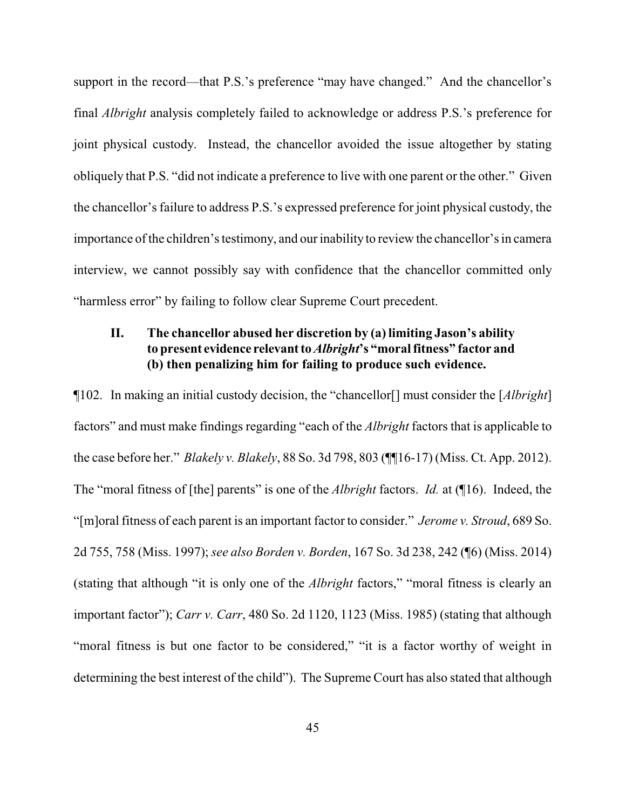support in the record—that P.S.'s preference "may have changed." And the chancellor's final *Albright* analysis completely failed to acknowledge or address P.S.'s preference for joint physical custody. Instead, the chancellor avoided the issue altogether by stating obliquely that P.S. "did not indicate a preference to live with one parent or the other." Given the chancellor's failure to address P.S.'s expressed preference for joint physical custody, the importance of the children's testimony, and our inability to review the chancellor's in camera interview, we cannot possibly say with confidence that the chancellor committed only "harmless error" by failing to follow clear Supreme Court precedent.

# **II. The chancellor abused her discretion by (a) limiting Jason's ability to present evidence relevant to** *Albright***'s "moral fitness" factor and (b) then penalizing him for failing to produce such evidence.**

¶102. In making an initial custody decision, the "chancellor[] must consider the [*Albright*] factors" and must make findings regarding "each of the *Albright* factors that is applicable to the case before her." *Blakely v. Blakely*, 88 So. 3d 798, 803 (¶¶16-17) (Miss. Ct. App. 2012). The "moral fitness of [the] parents" is one of the *Albright* factors. *Id.* at (¶16). Indeed, the "[m]oral fitness of each parent is an important factor to consider." *Jerome v. Stroud*, 689 So. 2d 755, 758 (Miss. 1997); *see also Borden v. Borden*, 167 So. 3d 238, 242 (¶6) (Miss. 2014) (stating that although "it is only one of the *Albright* factors," "moral fitness is clearly an important factor"); *Carr v. Carr*, 480 So. 2d 1120, 1123 (Miss. 1985) (stating that although "moral fitness is but one factor to be considered," "it is a factor worthy of weight in determining the best interest of the child"). The Supreme Court has also stated that although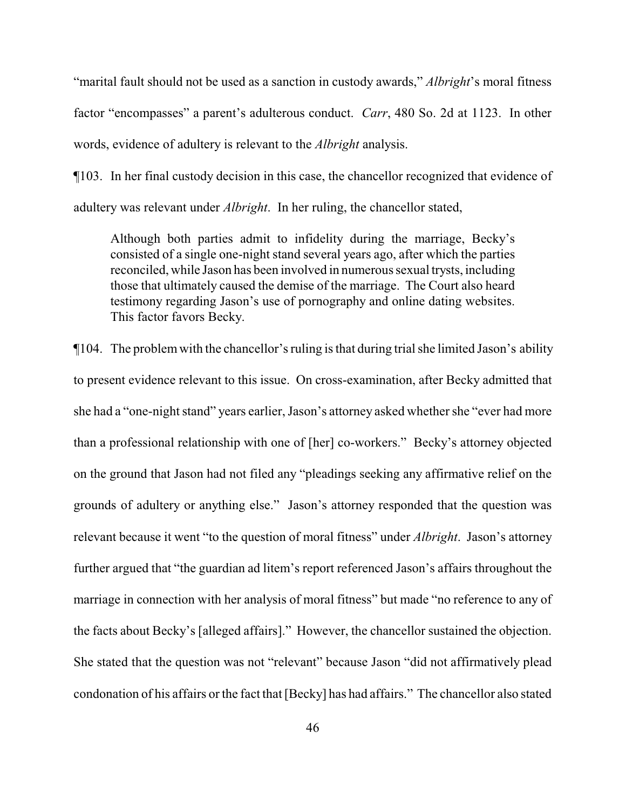"marital fault should not be used as a sanction in custody awards," *Albright*'s moral fitness factor "encompasses" a parent's adulterous conduct. *Carr*, 480 So. 2d at 1123. In other words, evidence of adultery is relevant to the *Albright* analysis.

¶103. In her final custody decision in this case, the chancellor recognized that evidence of adultery was relevant under *Albright*. In her ruling, the chancellor stated,

Although both parties admit to infidelity during the marriage, Becky's consisted of a single one-night stand several years ago, after which the parties reconciled, while Jason has been involved in numerous sexual trysts, including those that ultimately caused the demise of the marriage. The Court also heard testimony regarding Jason's use of pornography and online dating websites. This factor favors Becky.

¶104. The problem with the chancellor's ruling is that during trial she limited Jason's ability to present evidence relevant to this issue. On cross-examination, after Becky admitted that she had a "one-night stand" years earlier, Jason's attorney asked whether she "ever had more than a professional relationship with one of [her] co-workers." Becky's attorney objected on the ground that Jason had not filed any "pleadings seeking any affirmative relief on the grounds of adultery or anything else." Jason's attorney responded that the question was relevant because it went "to the question of moral fitness" under *Albright*. Jason's attorney further argued that "the guardian ad litem's report referenced Jason's affairs throughout the marriage in connection with her analysis of moral fitness" but made "no reference to any of the facts about Becky's [alleged affairs]." However, the chancellor sustained the objection. She stated that the question was not "relevant" because Jason "did not affirmatively plead condonation of his affairs or the fact that [Becky] has had affairs." The chancellor also stated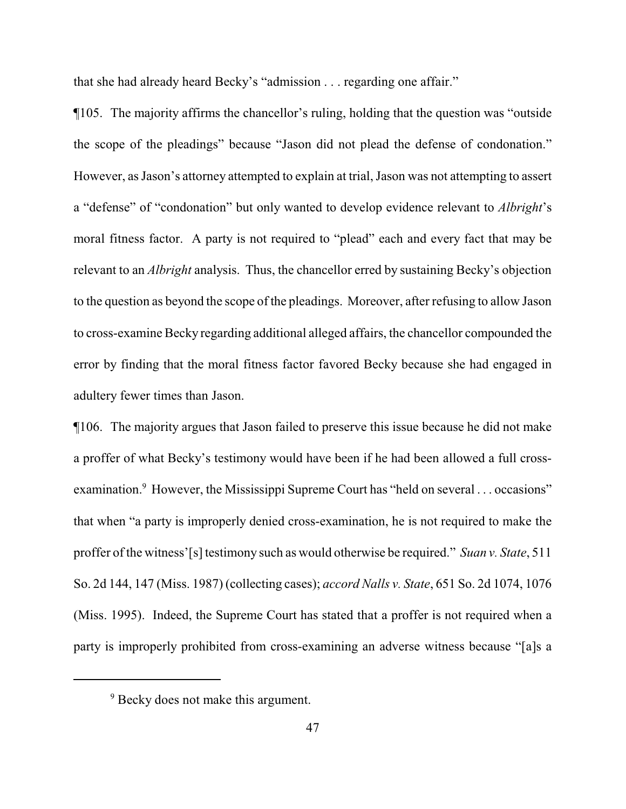that she had already heard Becky's "admission . . . regarding one affair."

¶105. The majority affirms the chancellor's ruling, holding that the question was "outside the scope of the pleadings" because "Jason did not plead the defense of condonation." However, as Jason's attorney attempted to explain at trial, Jason was not attempting to assert a "defense" of "condonation" but only wanted to develop evidence relevant to *Albright*'s moral fitness factor. A party is not required to "plead" each and every fact that may be relevant to an *Albright* analysis. Thus, the chancellor erred by sustaining Becky's objection to the question as beyond the scope of the pleadings. Moreover, after refusing to allow Jason to cross-examine Becky regarding additional alleged affairs, the chancellor compounded the error by finding that the moral fitness factor favored Becky because she had engaged in adultery fewer times than Jason.

¶106. The majority argues that Jason failed to preserve this issue because he did not make a proffer of what Becky's testimony would have been if he had been allowed a full crossexamination.<sup>9</sup> However, the Mississippi Supreme Court has "held on several . . . occasions" that when "a party is improperly denied cross-examination, he is not required to make the proffer of the witness'[s] testimony such as would otherwise be required." *Suan v. State*, 511 So. 2d 144, 147 (Miss. 1987) (collecting cases); *accord Nalls v. State*, 651 So. 2d 1074, 1076 (Miss. 1995). Indeed, the Supreme Court has stated that a proffer is not required when a party is improperly prohibited from cross-examining an adverse witness because "[a]s a

<sup>&</sup>lt;sup>9</sup> Becky does not make this argument.